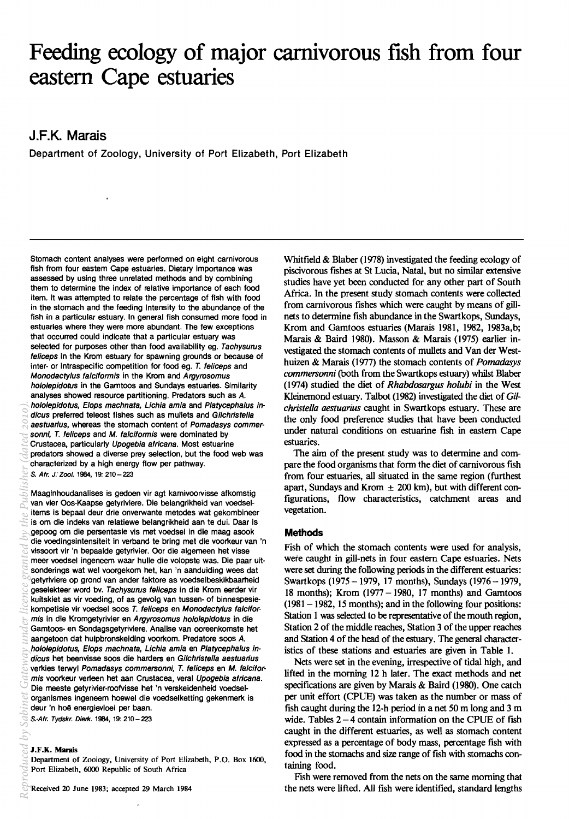# **Feeding ecology of major carnivorous fish from four eastern Cape estuaries**

# **J.F.K. Marais**

 $\ddot{\phantom{a}}$ 

Department of Zoology, University of Port Elizabeth, Port Elizabeth

Stomach content analyses were performed on eight carnivorous fish from four eastem Cape estuaries. Dietary importance was assessed by using three unrelated methods and by combining them to determine the index of relative importance of each food item. It was attempted to relate the percentage of fish with food in the stomach and the feeding intensity to the abundance of the fish in a particular estuary. In general fish consumed more food in estuaries where they were more abundant. The few exceptions that occurred could indicate that a particular estuary was selected for purposes other than food availability eg. Tachysurus feliceps in the Krom estuary for spawning grounds or because of inter- or intraspecific competition for food eg. T. feliceps and Monodacty/us fa/clformis in the Krom and Argyrosomus hololepidotus in the Gamtoos and Sundays estuaries. Similarity analyses showed resource partitioning. Predators such as A. hololepidotus, Elops machnata, Lichia amia and Platycephalus indicus preferred teleost fishes such as mullets and Gilchristella aestuarius, whereas the stomach content of Pomadasys commersonnl, T. feliceps and M. falciformis were dominated by Crustacea, particularly Upogebia africana. Most estuarine predators showed a diverse prey selection, but the food web was characterized by a high energy flow per pathway. S. Afr. J:Zool. 1984, 19: 210-223

Maaginhoudanalises is gedoen vir agt karnivoorvisse afkomstig van vier Oos-Kaapse getyriviere. Die belangrikheid van voedselitems is bepaal deur drie onverwante metodes wat gekombineer is om die indeks van relatiewe belangrikheid aan te dui. Daar is gepoog om die persentasie vis met voedsel in die maag asook die voedingsintensiteit in verband te bring met die voorkeur van 'n vissoort vir 'n bepaalde getyrivier. Oor die algemeen het visse meer voedsel ingeneem waar hulle die volopste was. Die paar uitsonderings wat wel voorgekom het, kan 'n aanduiding wees dat getyriviere op grond van ander faktore as voedselbeskikbaarheid geselekteer word by. Tachysurus feliceps in die Krom eerder vir kuitskiet as vir voeding, of as gevolg van tussen- of binnespesiekompetisie vir voedsel soos T. feliceps en Monodactylus falciformis in die Kromgetyrivier en Argyrosomus hololepidotus in die Gamtoos- en Sondagsgetyriviere. Analise van ooreenkomste het aangetoon dat hulpbronskeiding voorkom. Predatore soos A. hololepidotus, Elops machnata, Lichia amia en Platycephalus indicus het beenvisse soos die harders en Gilchristella aestuarius verkies terwyl Pomadasys commersonni, T. feliceps en M. falciformis voorkeur verleen het aan Crustacea, veral Upogebia africana. Die meeste getyrivier-roofvisse het 'n verskeidenheid voedselorganismes ingeneem hoewel die voedselketting gekenmerk is deur 'n hoe energievloei per baan. S.-Afr. Tydskr. Dierk. 1984, 19: 210 - 223

# J.F.K. Marais

Department of Zoology, University of Port Elizabeth, P.O. Box 1600, Port Elizabeth, 6000 Republic of South Africa

Received 20 1une 1983; accepted 29 March 1984

Whitfield & Blaber (1978) investigated the feeding ecology of piscivorous fishes at St Lucia, Natal, but no similar extensive studies have yet been conducted for any other part of South Africa. In the present study stomach contents were collected from carnivorous fishes which were caught by means of gillnets to detennine fish abundance in the Swartkops, Sundays, Krom and Gamtoos estuaries (Marais 1981, 1982, 1983a,b; Marais & Baird 1980). Masson & Marais (1975) earlier investigated the stomach contents of mullets and Van der Westhuizen & Marais (1977) the stomach contents of *Pomadasys commersonni* (both from the Swartkops estuary) whilst Blaber (1974) studied the diet of *Rhabdosargus holubi* in the West Kleinemond estuary. Talbot (1982) investigated the diet of *Gilchristella aestuarius* caught in Swartkops estuary. These are the only food preference studies that have been conducted under natural conditions on estuarine fish in eastern Cape estuaries.

The aim of the present study was to determine and compare the food organisms that form the diet of carnivorous fish from four estuaries, all situated in the same region (furthest apart, Sundays and Krom  $\pm$  200 km), but with different configurations, flow characteristics, catchment areas and vegetation.

# **Methods**

Fish of which the stomach contents were used for analysis, were caught in gill-nets in four eastern Cape estuaries. Nets were set during the following periods in the different estuaries: Swartkops (1975 - 1979, 17 months), Sundays (1976 - 1979, 18 months); Krom (1977 - 1980, 17 months) and Gamtoos  $(1981 - 1982, 15$  months); and in the following four positions: Station 1 was selected to be representative of the mouth region, Station 2 of the middle reaches, Station 3 of the upper reaches and Station 4 of the head of the estuary. The general characteristics of these stations and estuaries are given in Table 1.

Nets were set in the evening, irrespective of tidal high, and lifted in the morning 12 h later. The exact methods and net specifications are given by Marais & Baird (1980). One catch per unit effort (CPUE) was taken as the number or mass of fish caught during the 12-h period in a net 50 m long and 3 m wide. Tables  $2 - 4$  contain information on the CPUE of fish caught in the different estuaries, as well as stomach content expressed as a percentage of body mass, percentage fish with food in the stomachs and size range of fish with stomachs containing food.

Fish were removed from the nets on the same morning that the nets were lifted. All fish were identified, standard lengths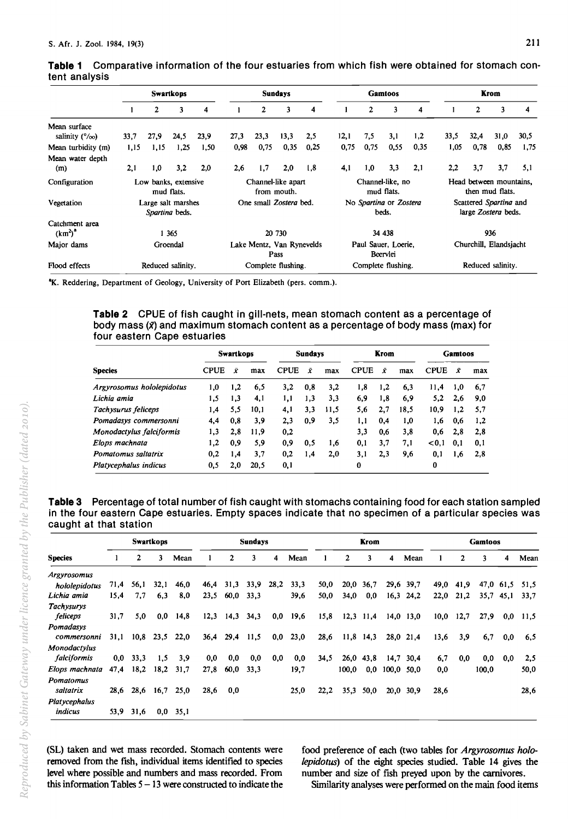|                                                 |      |                                    | <b>Swartkops</b> |      |      |      | <b>Sundays</b>                    |      |      |      | <b>Gamtoos</b>                  |      |      |                                               | Krom |      |
|-------------------------------------------------|------|------------------------------------|------------------|------|------|------|-----------------------------------|------|------|------|---------------------------------|------|------|-----------------------------------------------|------|------|
|                                                 |      | $\mathbf{2}$                       | 3                | 4    |      | 2    | 3                                 | 4    |      | 2    | 3                               | 4    |      | 2                                             | 3    | 4    |
| Mean surface<br>salinity $(^{\circ}/_{\infty})$ | 33.7 | 27,9                               | 24,5             | 23,9 | 27.3 | 23.3 | 13,3                              | 2,5  | 12,1 | 7.5  | 3.1                             | 1,2  | 33,5 | 32,4                                          | 31,0 | 30,5 |
| Mean turbidity (m)                              | 1,15 | 1,15                               | 1,25             | 1,50 | 0,98 | 0,75 | 0,35                              | 0,25 | 0,75 | 0,75 | 0.55                            | 0,35 | 1,05 | 0,78                                          | 0,85 | 1,75 |
| Mean water depth<br>(m)                         | 2,1  | 1,0                                | 3,2              | 2,0  | 2.6  | 1.7  | 2.0                               | 1,8  | 4,1  | 1,0  | 3,3                             | 2,1  | 2,2  | 3,7                                           | 3,7  | 5,1  |
| Configuration                                   |      | Low banks, extensive<br>mud flats. |                  |      |      |      | Channel-like apart<br>from mouth. |      |      |      | Channel-like, no<br>mud flats.  |      |      | Head between mountains,<br>then mud flats.    |      |      |
| Vegetation                                      |      | Large salt marshes                 |                  |      |      |      | One small Zostera bed.            |      |      |      | No Spartina or Zostera<br>beds. |      |      | Scattered Spartina and<br>large Zostera beds. |      |      |
| Catchment area<br>$(km^2)^2$                    |      | Spartina beds.<br>1 3 6 5          |                  |      |      |      | 20 730                            |      |      |      | 34 438                          |      |      |                                               | 936  |      |
| Major dams                                      |      | Groendal                           |                  |      |      |      | Lake Mentz, Van Rynevelds<br>Pass |      |      |      | Paul Sauer, Loerie,<br>Beervlei |      |      | Churchill, Elandsjacht                        |      |      |
| Flood effects                                   |      | Reduced salinity.                  |                  |      |      |      | Complete flushing.                |      |      |      | Complete flushing.              |      |      | Reduced salinity.                             |      |      |

# **Table 1** Comparative information of the four estuaries from which fish were obtained for stomach content analysis

<sup>a</sup>K. Reddering, Department of Geology, University of Port Elizabeth (pers. comm.).

# **Table 2** CPUE of fish caught in gill-nets, mean stomach content as a percentage of body mass (x) and maximum stomach content as a percentage of body mass (max) for four eastern Cape estuaries

|                           |             | <b>Swartkops</b> |      |             | <b>Sundays</b> |      |             | Krom |      |             | Gamtoos |     |
|---------------------------|-------------|------------------|------|-------------|----------------|------|-------------|------|------|-------------|---------|-----|
| Species                   | <b>CPUE</b> | Ÿ                | max  | <b>CPUE</b> | Ÿ              | max  | <b>CPUE</b> | Ÿ    | max  | <b>CPUE</b> | Ŷ       | max |
| Argyrosomus hololepidotus | 1,0         | 1,2              | 6,5  | 3.2         | 0,8            | 3,2  | 1.8         | 1,2  | 6,3  | 11.4        | 1,0     | 6.7 |
| Lichia amia               | 1,5         | 1,3              | 4,1  | 1,1         | 1,3            | 3,3  | 6,9         | 1,8  | 6,9  | 5,2         | 2,6     | 9.0 |
| Tachysurus feliceps       | 1,4         | 5,5              | 10.1 | 4,1         | 3,3            | 11.5 | 5,6         | 2,7  | 18,5 | 10,9        | 1,2     | 5,7 |
| Pomadasys commersonni     | 4.4         | 0.8              | 3.9  | 2,3         | 0.9            | 3,5  | 1,1         | 0.4  | 1,0  | 1,6         | 0.6     | 1,2 |
| Monodactylus falciformis  | 1,3         | 2.8              | 11.9 | 0.2         |                |      | 3,3         | 0.6  | 3,8  | 0.6         | 2,8     | 2,8 |
| Elops machnata            | 1,2         | 0,9              | 5.9  | 0.9         | 0,5            | 1,6  | 0,1         | 3,7  | 7.1  | < 0.1       | 0.1     | 0,1 |
| Pomatomus saltatrix       | 0.2         | 1,4              | 3,7  | 0.2         | 1,4            | 2,0  | 3,1         | 2.3  | 9,6  | 0,1         | 1,6     | 2,8 |
| Platycephalus indicus     | 0.5         | 2.0              | 20.5 | 0,1         |                |      | 0           |      |      | 0           |         |     |

**Table 3** Percentage of total number of fish caught with stomachs containing food for each station sampled in the four eastern Cape estuaries. Empty spaces indicate that no specimen of a particular species was caught at that station

|                                 |      |      | <b>Swartkops</b> |      |      |              | <b>Sundays</b> |      |      |      |             | Krom        |            |             |      |      | Gamtoos |             |      |
|---------------------------------|------|------|------------------|------|------|--------------|----------------|------|------|------|-------------|-------------|------------|-------------|------|------|---------|-------------|------|
| <b>Species</b>                  |      | 2    | 3                | Mean |      | $\mathbf{2}$ | 3              | 4    | Mean |      | 2           | 3           | 4          | Mean        |      | 2    | 3       | 4           | Mean |
| <b>Argyrosomus</b>              |      |      |                  |      |      |              |                |      |      |      |             |             |            |             |      |      |         |             |      |
| hololepidotus                   | 71,4 | 56.1 | 32.1             | 46.0 | 46,4 | 31,3         | 33,9           | 28,2 | 33,3 | 50,0 | 20,0        | 36,7        |            | 29,6 39,7   | 49,0 | 41,9 |         | 47,0 61,5   | 51,5 |
| Lichia amia                     | 15,4 | 7.7  | 6.3              | 8,0  | 23,5 | 60,0         | 33,3           |      | 39,6 | 50,0 | 34,0        | 0,0         |            | $16,3$ 24,2 | 22,0 | 21,2 |         | $35.7$ 45,1 | 33,7 |
| <b>Tachysurys</b><br>feliceps   | 31,7 | 5.0  | 0.0              | 14,8 |      | $12,3$ 14,3  | 34,3           | 0,0  | 19,6 | 15,8 |             | $12,3$ 11,4 |            | $14,0$ 13,0 | 10,0 | 12,7 | 27,9    | 0.0         | 11,5 |
| Pomadasys<br>commersonni        | 31,1 | 10.8 | 23,5             | 22,0 | 36,4 | 29.4         | 11,5           | 0,0  | 23,0 | 28,6 | $11,8$ 14,3 |             |            | 28,0 21,4   | 13,6 | 3,9  | 6,7     | 0.0         | 6,5  |
| Monodactylus<br>falciformis     | 0.0  | 33,3 | 1,5              | 3,9  | 0,0  | 0,0          | 0,0            | 0.0  | 0,0  | 34,5 |             | $26,0$ 43,8 | 14,7       | 30.4        | 6,7  | 0,0  | 0.0     | 0,0         | 2,5  |
| Elops machnata                  | 47,4 | 18,2 | 18,2             | 31,7 | 27,8 | 60,0         | 33,3           |      | 19,7 |      | 100.0       | 0,0         | 100,0 50,0 |             | 0,0  |      | 100,0   |             | 50,0 |
| Pomatomus<br>saltatrix          | 28,6 | 28,6 | 16,7             | 25,0 | 28,6 | 0,0          |                |      | 25,0 | 22,2 | 35,3        | 50,0        | 20,0       | 30,9        | 28,6 |      |         |             | 28,6 |
| <b>Platycephalus</b><br>indicus | 53,9 | 31.6 | 0,0              | 35,1 |      |              |                |      |      |      |             |             |            |             |      |      |         |             |      |

(SL) taken and wet mass recorded. Stomach contents were removed from the fish, individual items identified to species level where possible and numbers and mass recorded. From this information Tables  $5 - 13$  were constructed to indicate the food preference of each (two tables for *Argyrosomus hololepidotus)* of the eight species studied. Table 14 gives the number and size of fish preyed upon by the carnivores.

Similarity analyses were performed on the main food items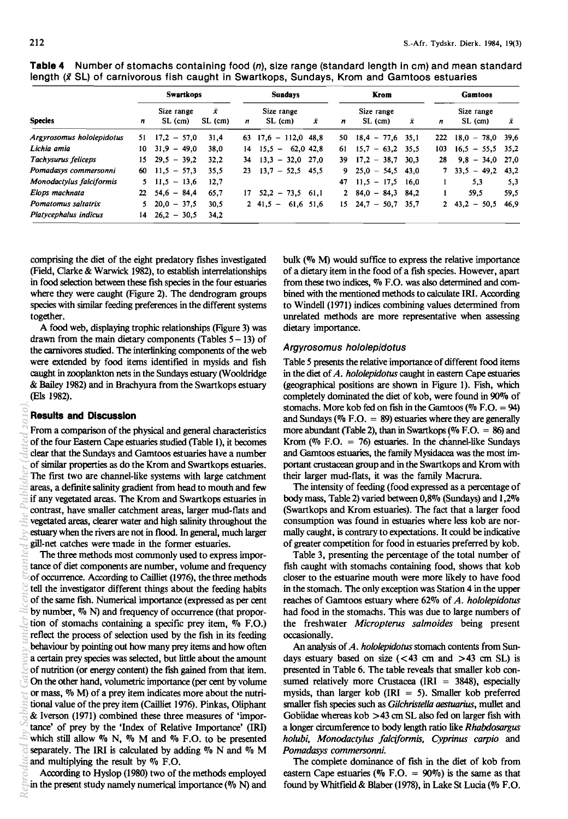|                           |     | <b>Swartkops</b>       |              |   | <b>Sundays</b>                    |   |     | Krom                   |      |             | <b>Gamtoos</b>        |      |
|---------------------------|-----|------------------------|--------------|---|-----------------------------------|---|-----|------------------------|------|-------------|-----------------------|------|
| <b>Species</b>            | n   | Size range<br>SL (cm)  | Ŷ<br>SL (cm) | n | Size range<br>SL (cm)             | Ÿ | n   | Size range<br>SL (cm)  | x    | n           | Size range<br>SL (cm) | Х    |
| Argyrosomus hololepidotus | 51  | $17.2 - 57.0$          | 31.4         |   | $63$ 17,6 - 112,0 48,8            |   | 50. | $18,4 - 77,6$          | 35,1 | 222         | $18.0 - 78.0$ 39.6    |      |
| Lichia amia               | 10  | $31.9 - 49.0$          | 38,0         |   | $14$ $15.5 - 62.0$ 42.8           |   | 61  | $15.7 - 63.2$          | 35.5 | 103         | $16,5 - 55,5$         | 35,2 |
| Tachysurus feliceps       | 15. | $29.5 - 39.2$          | 32.2         |   | $34$ $13,3$ - 32,0 27,0           |   | 39. | $17.2 - 38.7$          | 30.3 | 28          | $-34.0$<br>9.8        | 27.0 |
| Pomadasys commersonni     | 60. | $11.5 - 57.3$          | 35.5         |   | $23 \quad 13.7 - 52.5 \quad 45.5$ |   | 9.  | $25.0 - 54.5$          | 43.0 |             | $33.5 - 49.2$         | 43.2 |
| Monodactylus falciformis  |     | $5 \t11.5 - 13.6$      | 12,7         |   |                                   |   | 47  | $11.5 - 17.5$          | 16.0 |             | 5.3                   | 5,3  |
| Elops machnata            |     | $22 \quad 54.6 - 84.4$ | 65,7         |   | $17 \quad 52.2 - 73.5 \quad 61.1$ |   |     | $2\quad 84.0 - 84.3$   | 84.2 |             | 59.5                  | 59,5 |
| Pomatomus saltatrix       |     | $5\quad 20.0\ -\ 37.5$ | 30.5         |   | $2\;\;41,5\;\;-\;\;$<br>61.6 51.6 |   |     | $15 \quad 24.7 - 50.7$ | 35,7 | $2^{\circ}$ | $43,2 - 50,5$         | 46,9 |
| Platycephalus indicus     | 14  | $26.2 - 30.5$          | 34,2         |   |                                   |   |     |                        |      |             |                       |      |

**Table 4** Number of stomachs containing food (n), size range (standard length in cm) and mean standard length (x SL) of carnivorous fish caught in Swartkops, Sundays, Krom and Gamtoos estuaries

comprising the diet of the eight predatory fishes investigated (Field, Clarke & Warwick 1982), to establish interrelationships in food selection between these fish species in the four estuaries where they were caught (Figure 2). The dendrogram groups species with similar feeding preferences in the different systems together.

A food web, displaying trophic relationships (Figure 3) was drawn from the main dietary components (Tables  $5 - 13$ ) of the carnivores studied. The interlinking components of the web were extended by food items identified in mysids and fish caught in zooplankton nets in the Sundays estuary (Wooldridge & Bailey 1982) and in Brachyura from the Swartkops estuary (Els 1982).

# **Results and Discussion**

From a comparison of the physical and general characteristics of the four Eastern Cape estuaries studied (Table I), it becomes clear that the Sundays and Gamtoos estuaries have a number of similar properties as do the Krom and Swartkops estuaries. The first two are channel-like systems with large catchment areas, a defmite salinity gradient from head to mouth and few if any vegetated areas. The Krom and Swartkops estuaries in contrast, have smaller catchment areas, larger mud-flats and vegetated areas, clearer water and high salinity throughout the estuary when the rivers are not in flood. In general, much larger gill-net catches were made in the former estuaries.

The three methods most commonly used to express importance of diet components are number, volume and frequency of occurrence. According to Cailliet (1976), the three methods tell the investigator different things about the feeding habits of the same fish. Numerical importance (expressed as per cent by number,  $\%$  N) and frequency of occurrence (that proportion of stomachs containing a specific prey item,  $\%$  F.O.) reflect the process of selection used by the fish in its feeding behaviour by pointing out how many prey items and how often a certain prey species was selected, but little about the amount of nutrition (or energy content) the fISh gained from that item. On the other hand, volumetric importance (per cent by volume or mass, % M) of a prey item indicates more about the nutritional value of the prey item (Cailliet 1976). Pinkas, Oliphant & Iverson (1971) combined these three measures of 'importance' of prey by the 'Index of Relative Importance' (IRI) which still allow  $\%$  N,  $\%$  M and  $\%$  F.O. to be presented separately. The IRI is calculated by adding  $\%$  N and  $\%$  M and multiplying the result by  $\%$  F.O. *Reproduced by Sabinet* Gateway *under* licence granted *by* the *Publisher* (dated 2010).<br> **Reproduced** *by* Sabinet **Brander is a conduct of the conduct of the conduct of the conduct of the conduct of the conduct o** 

According to Hyslop (1980) two of the methods employed in the present study namely numerical importance  $(\%$  N) and

bulk (% M) would suffice to express the relative importance of a dietary item in the food of a fish species. However, apart from these two indices, % F.O. was also determined and combined with the mentioned methods to calculate IRI. According to Windell (1971) indices combining values determined from unrelated methods are more representative when assessing dietary importance.

#### Argyrosomus hololepidotus

Table 5 presents the relative importance of different food items in the diet of *A. hololepidotus* caught in eastern Cape estuaries (geographical positions are shown in Figure 1). Fish, which completely dominated the diet of kob, were found in 90% of stomachs. More kob fed on fish in the Gamtoos ( $\%$  F.O. = 94) and Sundays ( $\%$  F.O. = 89) estuaries where they are generally more abundant (Table 2), than in Swartkops ( $\%$  F.O. = 86) and Krom (% F.O.  $= 76$ ) estuaries. In the channel-like Sundays and Gamtoos estuaries, the family Mysidacea was the most important crustacean group and in the Swartkops and Krom with their larger mud-flats, it was the family Macrura.

The intensity of feeding (food expressed as a percentage of body mass, Table 2) varied between 0,8% (Sundays) and 1,2% (Swartkops and Krom estuaries). The fact that a larger food consumption was found in estuaries where less kob are normally caught, is contrary to expectations. It could be indicative of greater competition for food in estuaries preferred by kob.

Table 3, presenting the percentage of the total number of fish caught with stomachs containing food, shows that kob closer to the estuarine mouth were more likely to have food in the stomach. The only exception was Station 4 in the upper reaches of Gamtoos estuary where 62% of *A. hololepidotus*  had food in the stomachs. This was due to large numbers of the freshwater *Micropterus salmoides* being present occasionally.

An analysis of *A. hololepidotus* stomach contents from Sundays estuary based on size  $(< 43$  cm and  $> 43$  cm SL) is presented in Table 6. The table reveals that smaller kob consumed relatively more Crustacea (IRI  $=$  3848), especially mysids, than larger kob (IRI  $=$  5). Smaller kob preferred smaller fish species such as *Gilchristella aestuarius*, mullet and Gobiidae whereas kob  $>43$  cm SL also fed on larger fish with a longer circumference to body length ratio like *Rhabdosargus holubi, Monodactylus falciformis, Cyprinus carpio* and *Pomadasys commersonni.* 

The complete dominance of fISh in the diet of kob from eastern Cape estuaries ( $\%$  F.O. = 90%) is the same as that found by Whitfield & Blaber (1978), in Lake St Lucia (% F.O.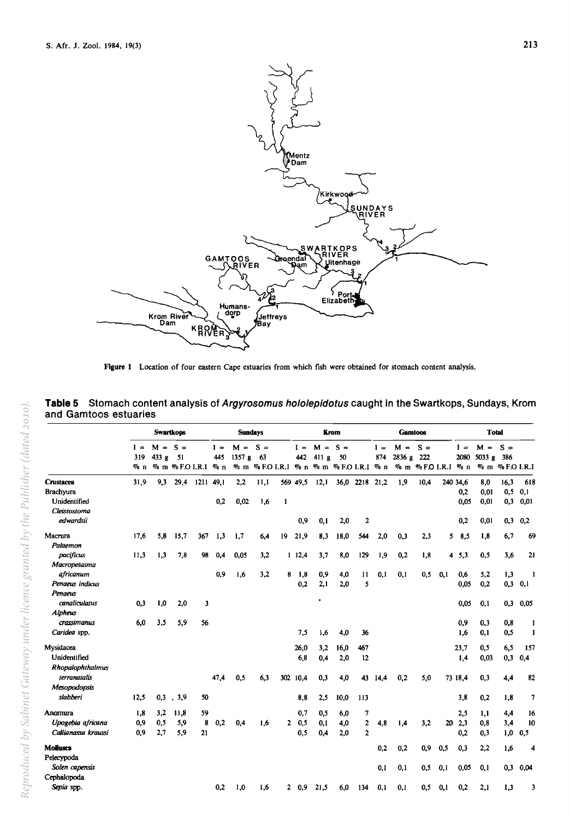

Figure 1 Location of four eastern Cape estuaries from which fish were obtained for stomach content analysis.

|                     |                        |                    | <b>Swartkons</b>         |           |              | <b>Sundays</b>  |                                                        |     |              |                    | Krom |                |              | <b>Gamtoos</b>  |                                   |     |               | <b>Total</b>            |                 |      |
|---------------------|------------------------|--------------------|--------------------------|-----------|--------------|-----------------|--------------------------------------------------------|-----|--------------|--------------------|------|----------------|--------------|-----------------|-----------------------------------|-----|---------------|-------------------------|-----------------|------|
|                     | $1 =$<br>319<br>$\%$ n | $M = S =$<br>433 g | - 51<br>% m %FOI.R.I % n |           | $1 =$<br>445 | $M =$<br>1357 g | $S =$<br>63<br>% m % F.O I.R.I % n % m % F.O I.R.I % n |     | $I =$<br>442 | $M = S =$<br>411 g | 50   |                | $1 =$<br>874 | $M =$<br>2836 g | $S =$<br>222<br>% m %FO I.R.I % n |     | $I =$<br>2080 | $M = S =$<br>5033 g 386 | % m % F.O I.R.I |      |
| Crustacea           | 31,9                   | 9,3                | 29.4                     | 1211 49.1 |              | 2,2             | 11.1                                                   |     | 569 49.5     | 12,1               |      | 36,0 2218      | 21,2         | 1,9             | 10.4                              |     | 240 34,6      | 8,0                     | 16,3            | 618  |
| <b>Brachvura</b>    |                        |                    |                          |           |              |                 |                                                        |     |              |                    |      |                |              |                 |                                   |     | 0,2           | 0,01                    | 0, 5            | 0,1  |
| Unidentified        |                        |                    |                          |           | 0,2          | 0,02            | 1.6                                                    | 1   |              |                    |      |                |              |                 |                                   |     | 0.05          | 0.01                    | 0,3             | 0.01 |
| Cleistostoma        |                        |                    |                          |           |              |                 |                                                        |     |              |                    |      |                |              |                 |                                   |     |               |                         |                 |      |
| edwardsii           |                        |                    |                          |           |              |                 |                                                        |     | 0,9          | 0.1                | 2,0  | $\overline{2}$ |              |                 |                                   |     | 0,2           | 0.01                    | 0,3             | 0,2  |
| Macrura             | 17,6                   | 5,8                | 15,7                     | 367       | 1.3          | 1,7             | 6,4                                                    | 19  | 21,9         | 8,3                | 18.0 | 544            | 2,0          | 0,3             | 2,3                               |     | 58,5          | 1,8                     | 6,7             | 69   |
| Palaemon            |                        |                    |                          |           |              |                 |                                                        |     |              |                    |      |                |              |                 |                                   |     |               |                         |                 |      |
| pacificus           | 11,3                   | 1,3                | 7,8                      | 98        | 0,4          | 0,05            | 3,2                                                    |     | 112,4        | 3.7                | 8.0  | 129            | 1,9          | 0,2             | 1,8                               |     | 4, 5, 3       | 0,5                     | 3,6             | 21   |
| Macropetasma        |                        |                    |                          |           |              |                 |                                                        |     |              |                    |      |                |              |                 |                                   |     |               |                         |                 |      |
| africanum           |                        |                    |                          |           | 0,9          | 1,6             | 3,2                                                    | 8   | 1,8          | 0,9                | 4,0  | 11             | 0,1          | 0,1             | 0,5                               | 0.1 | 0,6           | 5,2                     | 1,3             | 1    |
| Penaeus indicus     |                        |                    |                          |           |              |                 |                                                        |     | 0.2          | 2,1                | 2.0  | 5              |              |                 |                                   |     | 0,05          | 0.2                     | 0,3             | 0,1  |
| Penaeus             |                        |                    |                          |           |              |                 |                                                        |     |              |                    |      |                |              |                 |                                   |     |               |                         |                 |      |
| canaliculatus       | 0.3                    | 1,0                | 2,0                      | 3         |              |                 |                                                        |     |              |                    |      |                |              |                 |                                   |     | 0.05          | 0.1                     | 0,3             | 0,05 |
| Alpheus             |                        |                    |                          |           |              |                 |                                                        |     |              |                    |      |                |              |                 |                                   |     |               |                         |                 |      |
| crassimanus         | 6,0                    | 3,5                | 5,9                      | 56        |              |                 |                                                        |     |              |                    |      |                |              |                 |                                   |     | 0.9           | 0.3                     | 0,8             |      |
| Caridea spp.        |                        |                    |                          |           |              |                 |                                                        |     | 7,5          | 1.6                | 4,0  | 36             |              |                 |                                   |     | 1.6           | 0.1                     | 0,5             | 1    |
| Mysidacea           |                        |                    |                          |           |              |                 |                                                        |     | 26,0         | 3,2                | 16,0 | 467            |              |                 |                                   |     | 23,7          | 0,5                     | 6,5             | 157  |
| Unidentified        |                        |                    |                          |           |              |                 |                                                        |     | 6.8          | 0.4                | 2,0  | 12             |              |                 |                                   |     | 1,4           | 0.03                    | 0,3             | 0,4  |
| Rhopalophthalmus    |                        |                    |                          |           |              |                 |                                                        |     |              |                    |      |                |              |                 |                                   |     |               |                         |                 |      |
| terranatalis        |                        |                    |                          |           | 47,4         | 0,5             | 6,3                                                    | 302 | 10,4         | 0,3                | 4,0  | 43             | 14.4         | 0,2             | 5,0                               |     | 73 18,4       | 0,3                     | 4,4             | 82   |
| Mesopodopsis        |                        |                    |                          |           |              |                 |                                                        |     |              |                    |      |                |              |                 |                                   |     |               |                         |                 |      |
| slabberi            | 12,5                   | 0,3                | 3,9                      | 50        |              |                 |                                                        |     | 8,8          | 2,5                | 10,0 | 113            |              |                 |                                   |     | 3,8           | 0,2                     | 1,8             | 7    |
| Anomura             | 1,8                    | 3,2                | 11,8                     | 59        |              |                 |                                                        |     | 0,7          | 0,5                | 6,0  | 7              |              |                 |                                   |     | 2,5           | 1,1                     | 4,4             | 16   |
| Upogebia africana   | 0,9                    | 0,5                | 5,9                      | 8         | 0,2          | 0,4             | 1.6                                                    | 2   | 0,5          | 0.1                | 4,0  | $\mathbf{2}$   | 4,8          | 1,4             | 3,2                               |     | 202.3         | 0.8                     | 3,4             | 10   |
| Callianassa kraussi | 0.9                    | 2,7                | 5,9                      | 21        |              |                 |                                                        |     | 0.5          | 0,4                | 2,0  | $\overline{a}$ |              |                 |                                   |     | 0.2           | 0.3                     | 1,0             | 0.5  |
| <b>Mollusca</b>     |                        |                    |                          |           |              |                 |                                                        |     |              |                    |      |                | 0,2          | 0,2             | 0,9                               | 0,5 | 0,3           | 2,2                     | 1,6             |      |
| Pelecypoda          |                        |                    |                          |           |              |                 |                                                        |     |              |                    |      |                |              |                 |                                   |     |               |                         |                 |      |
| Solen capensis      |                        |                    |                          |           |              |                 |                                                        |     |              |                    |      |                | 0,1          | 0,1             | 0,5                               | 0.1 | 0.05          | 0.1                     | 0,3             | 0.04 |
| Cephalopoda         |                        |                    |                          |           |              |                 |                                                        |     |              |                    |      |                |              |                 |                                   |     |               |                         |                 |      |
| Sepia spp.          |                        |                    |                          |           | 0,2          | 1,0             | 1,6                                                    | 2   | 0.9          | 21,5               | 6.0  | 134            | 0.1          | 0,1             | 0,5                               | 0.1 | 0,2           | 2.1                     | 1,3             | 3    |

**Table 5** Stomach content analysis of Argyrosomus hololepidotus caught in the Swartkops, Sundays, Krom and Gamtoos estuaries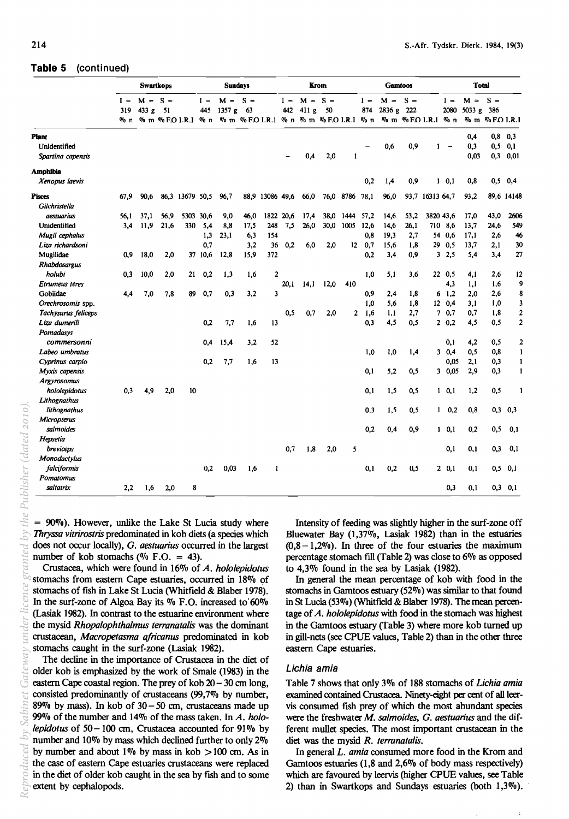# **Table 5** (continued)

|                     |              | <b>Swartkops</b><br>$M = S =$ |      |                         |              | <b>Sundays</b> |             |                         |              |                                                        | Krom |                 |              | <b>Gamtoos</b>  |               |                  |               | <b>Total</b>    |                               |                |
|---------------------|--------------|-------------------------------|------|-------------------------|--------------|----------------|-------------|-------------------------|--------------|--------------------------------------------------------|------|-----------------|--------------|-----------------|---------------|------------------|---------------|-----------------|-------------------------------|----------------|
|                     | $I =$<br>319 | 433 g $51$                    |      | % n % m % F.O.I.R.I % n | $I =$<br>445 | $M =$<br>1357g | $S =$<br>63 |                         | $I =$<br>442 | $M = S =$<br>411g<br>% m %FOI.R.1 % n % m %FOI.R.I % n | 50   |                 | $I =$<br>874 | $M =$<br>2836 g | $S =$<br>-222 | % m %FOI.R.I % n | $I =$<br>2080 | $M =$<br>5033 g | $S =$<br>386<br>% m %FO I.R.I |                |
| <b>Plant</b>        |              |                               |      |                         |              |                |             |                         |              |                                                        |      |                 |              |                 |               |                  |               | 0,4             | 0.8                           | 0.3            |
| Unidentified        |              |                               |      |                         |              |                |             |                         |              |                                                        |      |                 |              | 0,6             | 0,9           | 1                |               | 0,3             | 0.5                           | 0.1            |
| Spartina capensis   |              |                               |      |                         |              |                |             |                         |              | 0,4                                                    | 2,0  | 1               |              |                 |               |                  |               | 0.03            | 0.3                           | 0.01           |
|                     |              |                               |      |                         |              |                |             |                         |              |                                                        |      |                 |              |                 |               |                  |               |                 |                               |                |
| Amphibia            |              |                               |      |                         |              |                |             |                         |              |                                                        |      |                 |              |                 |               |                  |               |                 |                               |                |
| Xenopus laevis      |              |                               |      |                         |              |                |             |                         |              |                                                        |      |                 | 0.2          | 1,4             | 0,9           |                  | $1 \t0.1$     | 0,8             | 0,5                           | 0,4            |
| <b>Pisces</b>       | 67.9         | 90,6                          | 86.3 | 13679 50.5              |              | 96.7           | 88.9        | 13086 49.6              |              | 66,0                                                   | 76,0 | 8786 78.1       |              | 96.0            | 93,7          | 16313 64,7       |               | 93,2            |                               | 89,6 14148     |
| Gilchristella       |              |                               |      |                         |              |                |             |                         |              |                                                        |      |                 |              |                 |               |                  |               |                 |                               |                |
| <i>aestuarius</i>   | 56.1         | 37,1                          | 56,9 | 5303                    | 30.6         | 9,0            | 46.0        | 1822                    | 20,6         | 17,4                                                   | 38,0 | 1444            | 57,2         | 14.6            | 53,2          | 3820 43,6        |               | 17,0            | 43,0                          | 2606           |
| Unidentified        | 3,4          | 11,9                          | 21,6 | 330                     | 5,4          | 8,8            | 17,5        | 248                     | 7,5          | 26,0                                                   | 30,0 | 1005            | 12,6         | 14,6            | 26,1          | 710              | 8,6           | 13,7            | 24,6                          | 549            |
| Mugil cephalus      |              |                               |      |                         | 1,3          | 23,1           | 6,3         | 154                     |              |                                                        |      |                 | 0,8          | 19.3            | 2,7           | 54               | 0,6           | 17,1            | 2.6                           | 46             |
| Liza richardsoni    |              |                               |      |                         | 0.7          |                | 3,2         | 36                      | 0,2          | 6.0                                                    | 2,0  | 12 <sub>2</sub> | 0,7          | 15,6            | 1,8           | 29               | 0,5           | 13,7            | 2,1                           | 30             |
| Mugilidae           | 0,9          | 18,0                          | 2,0  |                         | 37 10,6      | 12,8           | 15,9        | 372                     |              |                                                        |      |                 | 0,2          | 3,4             | 0,9           | 3                | 2,5           | 5,4             | 3,4                           | 27             |
| Rhabdosargus        |              |                               |      |                         |              |                |             |                         |              |                                                        |      |                 |              |                 |               |                  |               |                 |                               |                |
| holubi              | 0,3          | 10,0                          | 2,0  | 21                      | 0,2          | 1,3            | 1,6         | $\overline{2}$          |              |                                                        |      |                 | 1,0          | 5,1             | 3,6           |                  | 22 0,5        | 4,1             | 2,6                           | 12             |
| Etrumeus teres      |              |                               |      |                         |              |                |             |                         | 20.1         | 14,1                                                   | 12,0 | 410             |              |                 |               |                  | 4,3           | 1,1             | 1,6                           | 9              |
| Gobiidae            | 4,4          | 7,0                           | 7,8  | 89                      | 0,7          | 0,3            | 3,2         | $\overline{\mathbf{3}}$ |              |                                                        |      |                 | 0,9          | 2,4             | 1,8           | 6                | 1,2           | 2.0             | 2,6                           | 8              |
| Orechrosomis spp.   |              |                               |      |                         |              |                |             |                         |              |                                                        |      |                 | 1,0          | 5.6             | 1,8           | 12 <sup>2</sup>  | 0,4           | 3.1             | 1,0                           | 3              |
| Tachysurus feliceps |              |                               |      |                         |              |                |             |                         | 0.5          | 0,7                                                    | 2,0  | $\overline{2}$  | 1,6          | 1,1             | 2,7           | 7                | 0,7           | 0,7             | 1,8                           | 2              |
| Liza dumerili       |              |                               |      |                         | 0.2          | 7,7            | 1,6         | 13                      |              |                                                        |      |                 | 0.3          | 4,5             | 0.5           |                  | 2 0,2         | 4,5             | 0,5                           | $\overline{2}$ |
| Pomadasys           |              |                               |      |                         |              |                |             |                         |              |                                                        |      |                 |              |                 |               |                  |               |                 |                               |                |
| commersonni         |              |                               |      |                         | 0,4          | 15,4           | 3,2         | 52                      |              |                                                        |      |                 |              |                 |               |                  | 0,1           | 4,2             | 0,5                           | $\overline{2}$ |
| Labeo umbratus      |              |                               |      |                         |              |                |             |                         |              |                                                        |      |                 | 1,0          | 1,0             | 1,4           |                  | 30,4          | 0.5             | 0.8                           | $\mathbf{1}$   |
| Cyprinus carpio     |              |                               |      |                         | 0,2          | 7,7            | 1,6         | 13                      |              |                                                        |      |                 |              |                 |               |                  | 0,05          | 2,1             | 0,3                           | 1              |
| Myxis capensis      |              |                               |      |                         |              |                |             |                         |              |                                                        |      |                 | 0,1          | 5,2             | 0,5           |                  | 30,05         | 2,9             | 0,3                           | $\mathbf{1}$   |
| <b>Argyrosomus</b>  |              |                               |      |                         |              |                |             |                         |              |                                                        |      |                 |              |                 |               |                  |               |                 |                               |                |
| hololepidotus       | 0.3          | 4.9                           | 2,0  | 10                      |              |                |             |                         |              |                                                        |      |                 | 0,1          | 1,5             | 0,5           |                  | $1 \t 0,1$    | 1.2             | 0,5                           | 1              |
| Lithognathus        |              |                               |      |                         |              |                |             |                         |              |                                                        |      |                 |              |                 |               |                  |               |                 |                               |                |
| lithognathus        |              |                               |      |                         |              |                |             |                         |              |                                                        |      |                 | 0.3          | 1,5             | 0,5           | $\mathbf{1}$     | 0.2           | 0.8             | 0.3                           | 0,3            |
| Micropterus         |              |                               |      |                         |              |                |             |                         |              |                                                        |      |                 |              |                 |               |                  |               |                 |                               |                |
| salmoides           |              |                               |      |                         |              |                |             |                         |              |                                                        |      |                 | 0,2          | 0.4             | 0,9           |                  | $1 \t 0,1$    | 0.2             | 0,5                           | 0,1            |
| Hepsetia            |              |                               |      |                         |              |                |             |                         |              |                                                        |      |                 |              |                 |               |                  |               |                 |                               |                |
| breviceps           |              |                               |      |                         |              |                |             |                         | 0.7          | 1,8                                                    | 2,0  | 5               |              |                 |               |                  | 0,1           | 0.1             | 0,3                           | 0,1            |
| Monodactylus        |              |                               |      |                         |              |                |             |                         |              |                                                        |      |                 |              |                 |               |                  |               |                 |                               |                |
| falciformis         |              |                               |      |                         | 0.2          | 0,03           | 1.6         | 1                       |              |                                                        |      |                 | 0,1          | 0,2             | 0.5           |                  | 20.1          | 0.1             | 0,5                           | 0,1            |
| Pomatomus           |              |                               |      |                         |              |                |             |                         |              |                                                        |      |                 |              |                 |               |                  |               |                 |                               |                |
| saltatrix           | 2,2          | 1,6                           | 2,0  | 8                       |              |                |             |                         |              |                                                        |      |                 |              |                 |               |                  | 0,3           | 0,1             | 0,3                           | 0,1            |

 $= 90\%$ ). However, unlike the Lake St Lucia study where *Jhryssa vitrirostris* predominated in kob diets (a species which does not occur locally), G. *aestuarius* occurred in the largest number of kob stomachs ( $\%$  F.O. = 43).

Crustacea, which were found in 16% of *A. hololepidotus*  stomachs from eastern Cape estuaries, occurred in 18% of stomachs of fish in Lake St Lucia (Whitfield & Blaber 1978). In the surf-zone of Algoa Bay its  $\%$  F.O. increased to 60% (Lasiak 1982). In contrast to the estuarine environment where the mysid *Rhopalophthalmus terranatalis* was the dominant crustacean, *Macropetasma africanus* predominated in kob stomachs caught in the surf-zone (Lasiak 1982).

The decline in the importance of Crustacea in the diet of older kob is emphasized by the work of Smale (1983) in the eastern Cape coastal region. The prey of kob  $20 - 30$  cm long, consisted predominantly of crustaceans (99,7% by number, 89% by mass). In kob of  $30 - 50$  cm, crustaceans made up 99% of the number and 14% of the mass taken. In *A. hololepidotus* of 50-100 em, Crustacea accounted for 91% by number and 10% by mass which declined further to only 2% by number and about 1% by mass in kob  $> 100$  cm. As in the case of eastern Cape estuaries crustaceans were replaced in the diet of older kob caught in the sea by fish and to some extent by cephalopods.

Intensity of feeding was slightly higher in the surf-zone off Bluewater Bay (1,37%, Lasiak 1982) than in the estuaries  $(0,8 - 1,2\%)$ . In three of the four estuaries the maximum percentage stomach fill (Table 2) was close to 6% as opposed to 4,3% found in the sea by Lasiak (1982).

In general the mean percentage of kob with food in the stomachs in Gamtoos estuary (52%) was similar to that found in St Lucia (53%) (Whitfield & Blaber 1978). The mean percentage of *A. hololepidotus* with food in the stomach was highest in the Gamtoos estuary (Table 3) where more kob turned up in gill-nets (see CPUE values, Table 2) than in the other three eastern Cape estuaries.

#### Lichia amia

Table 7 shows that only 3% of 188 stomachs of *Lichia amia*  examined contained Crustacea. Ninety-eight per cent of all leervis consumed fish prey of which the most abundant species were the freshwater *M. salmoides,* G. *aestuarius* and the different mullet species. The most important crustacean in the diet was the mysid *R. terranatalis.* 

In general *L. amia* consumed more food in the Krom and Gamtoos estuaries (1,8 and 2,6% of body mass respectively) which are favoured by leervis (higher CPUE values, see Table 2) than in Swartkops and Sundays estuaries (both  $1,3\%$ ).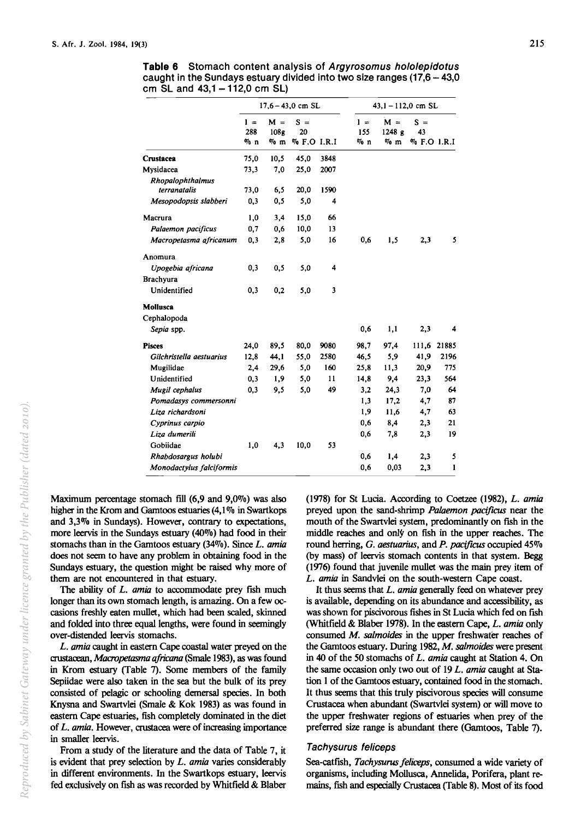|                                         |                        |                                     | $17.6 - 43.0$ cm SL        |      |                        | $43,1 - 112,0$ cm SL      |                            |              |
|-----------------------------------------|------------------------|-------------------------------------|----------------------------|------|------------------------|---------------------------|----------------------------|--------------|
|                                         | $1 =$<br>288<br>$\%$ n | $M =$<br>108 <sub>g</sub><br>$\%$ m | $S =$<br>20<br>% F.O I.R.I |      | $1 =$<br>155<br>$\%$ n | $M =$<br>1248 g<br>$\%$ m | $S =$<br>43<br>% F.O 1.R.I |              |
| Crustacea                               | 75,0                   | 10,5                                | 45.0                       | 3848 |                        |                           |                            |              |
| Mysidacea                               | 73,3                   | 7.0                                 | 25,0                       | 2007 |                        |                           |                            |              |
| <b>Rhopalophthalmus</b><br>terranatalis | 73,0                   | 6,5                                 | 20,0                       | 1590 |                        |                           |                            |              |
| Mesopodopsis slabberi                   | 0,3                    | 0,5                                 | 5,0                        | 4    |                        |                           |                            |              |
| Macrura                                 | 1,0                    | 3,4                                 | 15,0                       | 66   |                        |                           |                            |              |
| Palaemon pacificus                      | 0,7                    | 0,6                                 | 10,0                       | 13   |                        |                           |                            |              |
| Macropetasma africanum                  | 0,3                    | 2,8                                 | 5,0                        | 16   | 0.6                    | 1,5                       | 2,3                        | 5            |
| Anomura                                 |                        |                                     |                            |      |                        |                           |                            |              |
| Upogebia africana                       | 0,3                    | 0,5                                 | 5,0                        | 4    |                        |                           |                            |              |
| Brachyura                               |                        |                                     |                            |      |                        |                           |                            |              |
| Unidentified                            | 0,3                    | 0,2                                 | 5,0                        | 3    |                        |                           |                            |              |
| <b>Mollusca</b>                         |                        |                                     |                            |      |                        |                           |                            |              |
| Cephalopoda                             |                        |                                     |                            |      |                        |                           |                            |              |
| Sepia spp.                              |                        |                                     |                            |      | 0,6                    | 1,1                       | 2,3                        | 4            |
| <b>Pisces</b>                           | 24,0                   | 89.5                                | 80,0                       | 9080 | 98,7                   | 97,4                      | 111,6                      | 21885        |
| Gilchristella aestuarius                | 12,8                   | 44,1                                | 55,0                       | 2580 | 46,5                   | 5,9                       | 41,9                       | 2196         |
| Mugilidae                               | 2,4                    | 29,6                                | 5,0                        | 160  | 25,8                   | 11,3                      | 20,9                       | 775          |
| Unidentified                            | 0,3                    | 1,9                                 | 5,0                        | 11   | 14,8                   | 9,4                       | 23,3                       | 564          |
| Mugil cephalus                          | 0,3                    | 9,5                                 | 5,0                        | 49   | 3,2                    | 24,3                      | 7,0                        | 64           |
| Pomadasys commersonni                   |                        |                                     |                            |      | 1,3                    | 17,2                      | 4,7                        | 87           |
| Liza richardsoni                        |                        |                                     |                            |      | 1,9                    | 11,6                      | 4,7                        | 63           |
| Cyprinus carpio                         |                        |                                     |                            |      | 0,6                    | 8,4                       | 2,3                        | 21           |
| Liza dumerili                           |                        |                                     |                            |      | 0,6                    | 7.8                       | 2,3                        | 19           |
| Gobiidae                                | 1,0                    | 4,3                                 | 10,0                       | 53   |                        |                           |                            |              |
| Rhabdosargus holubi                     |                        |                                     |                            |      | 0.6                    | 1,4                       | 2,3                        | 5            |
| Monodactylus falciformis                |                        |                                     |                            |      | 0.6                    | 0,03                      | 2,3                        | $\mathbf{I}$ |

**Table 6** Stomach content analysis of Argyrosomus hololepidotus caught in the Sundays estuary divided into two size ranges  $(17,6 - 43,0)$ cm SL and  $43,1 - 112,0$  cm SL)

Maximum percentage stomach fill  $(6,9 \text{ and } 9,0\%)$  was also higher in the Krom and Gamtoos estuaries (4,1 % in Swartkops and 3,3% in Sundays). However, contrary to expectations, more leervis in the Sundays estuary (40%) had food in their stomachs than in the Gamtoos estuary (34%). Since *L. amia*  does not seem to have any problem in obtaining food in the Sundays estuary, the question might be raised why more of them are not encountered in that estuary.

The ability of *L. amia* to accommodate prey fish much longer than its own stomach length, is amazing. On a few occasions freshly eaten mullet, which had been scaled, skinned and folded into three equal lengths, were found in seemingly over-distended leervis stomachs.

*L. amia* caught in eastern Cape coastal water preyed on the crustacean, *Macropetosma ajricana* (Smale 1983), as was found in Krom estuary (Table 7). Some members of the family Sepiidae were also taken in the sea but the bulk of its prey consisted of pelagic or schooling demersal species. In both Knysna and Swartvlei (Smale & Kok 1983) as was found in eastern Cape estuaries, fish completely dominated in the diet of *L. amia.* However, crustacea were of increasing importance in smaller leervis.

From a study of the literature and the data of Table 7, it is evident that prey selection by *L. amia* varies considerably in different environments. In the Swartkops estuary, leervis fed exclusively on fish as was recorded by Whitfield & Blaber

(1978) for St Lucia. According to Coetzee (1982), *L. amia*  preyed upon the sand-shrimp *Palaemon pacijicus* near the mouth of the Swartvlei system, predominantly on fish in the middle reaches and only on fish in the upper reaches. The round herring, G. *aestuarius,* and *P. pacijicus* occupied 45% (by mass) of leervis stomach contents in that system. Begg (1976) found that juvenile mullet was the main prey item of *L. amia* in Sandvlei on the south-western Cape coast.

It thus seems that *L. amia* generally feed on whatever prey is available, depending on its abundance and accessibility, as was shown for piscivorous fishes in St Lucia which fed on fish (Whitfield & Blaber 1978). In the eastern Cape, *L. amia* only consumed *M. salmoides* in the upper freshwater reaches of the Gamtoos estuary. During 1982, *M. salmoides* were present in 40 of the 50 stomachs of *L. amia* caught at Station 4. On the same occasion only two out of 19 *L. amia* caught at Station 1 of the Gamtoos estuary, contained food in the stomach. It thus seems that this truly piscivorous species will consume Crustacea when abundant (Swartvlei system) or will move to the upper freshwater regions of estuaries when prey of the preferred size range is abundant there (Gamtoos, Table 7).

#### Tachysurus feliceps

Sea-catfish, *Tachysurus jeliceps,* consumed a wide variety of organisms, including Mollusca, Annelida, Porifera, plant remains, fish and especially Crustacea (Table 8). Most of its food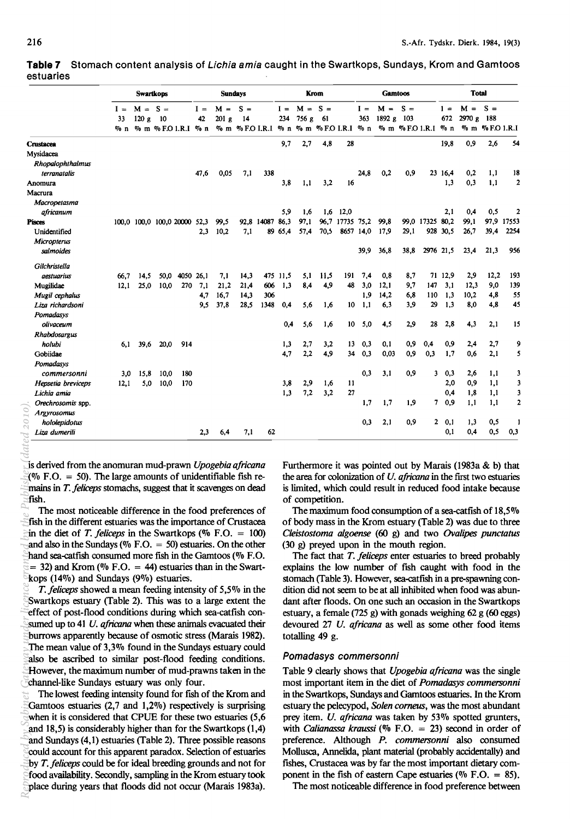|           | Table 7 Stomach content analysis of <i>Lichia amia</i> caught in the Swartkops, Sundays, Krom and Gamtoos |  |  |  |
|-----------|-----------------------------------------------------------------------------------------------------------|--|--|--|
| estuaries |                                                                                                           |  |  |  |
|           |                                                                                                           |  |  |  |

|                    |        | <b>Swartkops</b><br>$M = S =$ |      |                              |       | <b>Sundays</b>   |       |                                   |          |       | Krom  |                 |           | <b>Gamtoos</b> |       |                   |         | <b>Total</b> |                 |                         |
|--------------------|--------|-------------------------------|------|------------------------------|-------|------------------|-------|-----------------------------------|----------|-------|-------|-----------------|-----------|----------------|-------|-------------------|---------|--------------|-----------------|-------------------------|
|                    | $I =$  |                               |      |                              | $I =$ | $M =$            | $S =$ |                                   | $1 =$    | $M =$ | $S =$ |                 | $I =$     | $M =$          | $S =$ |                   | $1 =$   | $M =$        | $S =$           |                         |
|                    | 33     | 120 g                         | - 10 |                              | 42    | 201 <sub>g</sub> | 14    |                                   | 234      | 756 g | - 61  |                 | 363       | 1892 g         | 103   |                   | 672     | 2970 g 188   |                 |                         |
|                    | $\%$ n |                               |      | % m % F.O 1.R.I % n          |       |                  |       | % m %FOI.R.I % n % m %FOI.R.I % n |          |       |       |                 |           |                |       | % m %FO 1.R.1 % n |         |              | % m % F.O 1.R.I |                         |
| <b>Crustacea</b>   |        |                               |      |                              |       |                  |       |                                   | 9,7      | 2,7   | 4,8   | 28              |           |                |       |                   | 19,8    | 0,9          | 2,6             | 54                      |
| Mysidacea          |        |                               |      |                              |       |                  |       |                                   |          |       |       |                 |           |                |       |                   |         |              |                 |                         |
| Rhopalophthalmus   |        |                               |      |                              |       |                  |       |                                   |          |       |       |                 |           |                |       |                   |         |              |                 |                         |
| terranatalis       |        |                               |      |                              | 47,6  | 0,05             | 7,1   | 338                               |          |       |       |                 | 24,8      | 0,2            | 0,9   |                   | 23 16,4 | 0,2          | 1,1             | 18                      |
| Anomura            |        |                               |      |                              |       |                  |       |                                   | 3,8      | 1,1   | 3,2   | 16              |           |                |       |                   | 1,3     | 0,3          | 1,1             | $\overline{2}$          |
| Масгига            |        |                               |      |                              |       |                  |       |                                   |          |       |       |                 |           |                |       |                   |         |              |                 |                         |
| Macropetasma       |        |                               |      |                              |       |                  |       |                                   |          |       |       |                 |           |                |       |                   |         |              |                 |                         |
| africanum          |        |                               |      |                              |       |                  |       |                                   | 5,9      | 1,6   | 1.6   | 12,0            |           |                |       |                   | 2,1     | 0.4          | 0,5             | $\overline{2}$          |
| <b>Pisces</b>      |        |                               |      | 100,0 100,0 100,0 20000 52,3 |       | 99,5             | 92.8  | 14087 86,3                        |          | 97,1  | 96.7  | 17735 75.2      |           | 99.8           |       | 99.0 17325 80.2   |         | 99,1         | 97.9            | 17553                   |
| Unidentified       |        |                               |      |                              | 2.3   | 10,2             | 7,1   |                                   | 89 65,4  | 57,4  | 70.5  |                 | 8657 14,0 | 17,9           | 29.1  | 928               | 30.5    | 26.7         | 39.4            | 2254                    |
| Micropterus        |        |                               |      |                              |       |                  |       |                                   |          |       |       |                 |           |                |       |                   |         |              |                 |                         |
| salmoides          |        |                               |      |                              |       |                  |       |                                   |          |       |       |                 | 39.9      | 36,8           | 38.8  | 2976 21,5         |         | 23,4         | 21.3            | 956                     |
| Gilchristella      |        |                               |      |                              |       |                  |       |                                   |          |       |       |                 |           |                |       |                   |         |              |                 |                         |
| aestuarius         | 66.7   | 14.5                          | 50,0 | 4050                         | 26.1  | 7,1              | 14,3  |                                   | 475 11,5 | 5.1   | 11.5  | 191             | 7.4       | 0.8            | 8.7   |                   | 71 12,9 | 2,9          | 12,2            | 193                     |
| Mugilidae          | 12.1   | 25,0                          | 10.0 | 270                          | 7.1   | 21,2             | 21.4  | 606                               | 1,3      | 8,4   | 4,9   | 48              | 3,0       | 12,1           | 9,7   | 147               | 3,1     | 12.3         | 9,0             | 139                     |
| Mugil cephalus     |        |                               |      |                              | 4.7   | 16,7             | 14.3  | 306                               |          |       |       |                 | 1.9       | 14.2           | 6,8   | 110               | 1.3     | 10,2         | 4,8             | 55                      |
| Liza richardsoni   |        |                               |      |                              | 9.5   | 37,8             | 28,5  | 1348                              | 0,4      | 5,6   | 1,6   | 10              | 1,1       | 6,3            | 3,9   | 29                | 1,3     | 8.0          | 4,8             | 45                      |
| Pomadasys          |        |                               |      |                              |       |                  |       |                                   |          |       |       |                 |           |                |       |                   |         |              |                 |                         |
| olivaceum          |        |                               |      |                              |       |                  |       |                                   | 0,4      | 5,6   | 1.6   | 10 <sup>°</sup> | 5,0       | 4,5            | 2,9   | 28                | 2,8     | 4,3          | 2,1             | 15                      |
| Rhabdosargus       |        |                               |      |                              |       |                  |       |                                   |          |       |       |                 |           |                |       |                   |         |              |                 |                         |
| holubi             | 6.1    | 39.6                          | 20.0 | 914                          |       |                  |       |                                   | 1,3      | 2,7   | 3,2   | 13              | 0,3       | 0.1            | 0,9   | 0,4               | 0,9     | 2,4          | 2,7             | 9                       |
| Gobiidae           |        |                               |      |                              |       |                  |       |                                   | 4,7      | 2,2   | 4,9   | 34              | 0,3       | 0.03           | 0,9   | 0.3               | 1,7     | 0.6          | 2,1             | 5                       |
| Pomadasys          |        |                               |      |                              |       |                  |       |                                   |          |       |       |                 |           |                |       |                   |         |              |                 |                         |
| commersonni        | 3,0    | 15,8                          | 10,0 | 180                          |       |                  |       |                                   |          |       |       |                 | 0.3       | 3.1            | 0,9   | 3                 | 0,3     | 2,6          | 1,1             | 3                       |
| Hepsetia breviceps | 12,1   | 5.0                           | 10,0 | 170                          |       |                  |       |                                   | 3,8      | 2,9   | 1,6   | 11              |           |                |       |                   | 2,0     | 0,9          | 1,1             | $\overline{\mathbf{3}}$ |
| Lichia amia        |        |                               |      |                              |       |                  |       |                                   | 1,3      | 7,2   | 3,2   | 27              |           |                |       |                   | 0,4     | 1,8          | 1,1             | 3                       |
| Orechrosomis spp.  |        |                               |      |                              |       |                  |       |                                   |          |       |       |                 | 1,7       | 1,7            | 1,9   | 7.                | 0,9     | 1,1          | 1,1             | $\overline{a}$          |
| <b>Argyrosomus</b> |        |                               |      |                              |       |                  |       |                                   |          |       |       |                 |           |                |       |                   |         |              |                 |                         |
| hololepidotus      |        |                               |      |                              |       |                  |       |                                   |          |       |       |                 | 0.3       | 2.1            | 0.9   | $\mathbf{2}$      | 0,1     | 1,3          | 0,5             |                         |
| Liza dumerili      |        |                               |      |                              | 2.3   | 6,4              | 7,1   | 62                                |          |       |       |                 |           |                |       |                   | 0,1     | 0,4          | 0,5             | 0,3                     |

is derived from the anomuran mud-prawn *Upogebia afrieana*   $(96)$  F.O. = 50). The large amounts of unidentifiable fish remains in *T. fe/iceps* stomachs, suggest that it scavenges on dead fish.

The most noticeable difference in the food preferences of fish in the different estuaries was the importance of Crustacea in the diet of *T. feliceps* in the Swartkops ( $\%$  F.O. = 100) and also in the Sundays ( $\%$  F.O. = 50) estuaries. On the other hand sea-catfish consumed more fish in the Gamtoos (070 F.O.  $= 32$ ) and Krom (% F.O.  $= 44$ ) estuaries than in the Swartkops (14 $\%$ ) and Sundays (9 $\%$ ) estuaries.

*T. feliceps* showed a mean feeding intensity of 5,5% in the Swartkops estuary (Table 2). This was to a large extent the effect of post-flood conditions during which sea-catfish consumed up to 41 *U. africana* when these animals evacuated their burrows apparently because of osmotic stress (Marais 1982). The mean value of 3,3070 found in the Sundays estuary could also be ascribed to similar post-flood feeding conditions. However, the maximum number of mud-prawns taken in the channel-like Sundays estuary was only four. Reproduced by Sabinet Gateway *under* licence *granted by licence licence a co*<sup>2020</sup>.

The lowest feeding intensity found for fish of the Krom and Gamtoos estuaries  $(2,7,20)$  respectively is surprising when it is considered that CPUE for these two estuaries (5,6 and 18,5) is considerably higher than for the Swartkops (1,4) and Sundays (4,1) estuaries (Table 2). Three possible reasons could account for this apparent paradox. Selection of estuaries by *T. feliceps* could be for ideal breeding grounds and not for food availability. Secondly, sampling in the Krom estuary took place during years that floods did not occur (Marais 1983a). Furthermore it was pointed out by Marais (1983a & b) that the area for colonization of *U. africana* in the first two estuaries is limited, which could result in reduced food intake because of competition.

The maximum food consumption of a sea-catfish of  $18,5\%$ of body mass in the Krom estuary (Table 2) was due to three *C/eistostoma a/goense* (60 g) and two *Ova/ipes punetatus*  (30 g) preyed upon in the mouth region.

The fact that *T. feliceps* enter estuaries to breed probably explains the low number of fish caught with food in the stomach (Table 3). However, sea-catfish in a pre-spawning condition did not seem to be at all inhibited when food was abundant after floods. On one such an occasion in the Swartkops estuary, a female (725 g) with gonads weighing 62 g (60 eggs) devoured 27 *U. afrieana* as well as some other food items totalling 49 g.

#### Pomadasys commersonni

Table 9 clearly shows that *Upogebia afrieana* was the single most important item in the diet of *Pomadasys commersonni*  in the Swartkops, Sundays and Gamtoos estuaries. In the Krom estuary the pelecypod, *Solen corneus*, was the most abundant prey item. *U. africana* was taken by 53% spotted grunters, with *Calianassa kraussi* ( $\%$  F.O. = 23) second in order of preference. Although *P. eommersonni* also consumed Mollusca, Annelida, plant material (probably accidentally) and fishes, Crustacea was by far the most important dietary component in the fish of eastern Cape estuaries ( $\%$  F.O. = 85).

The most noticeable difference in food preference between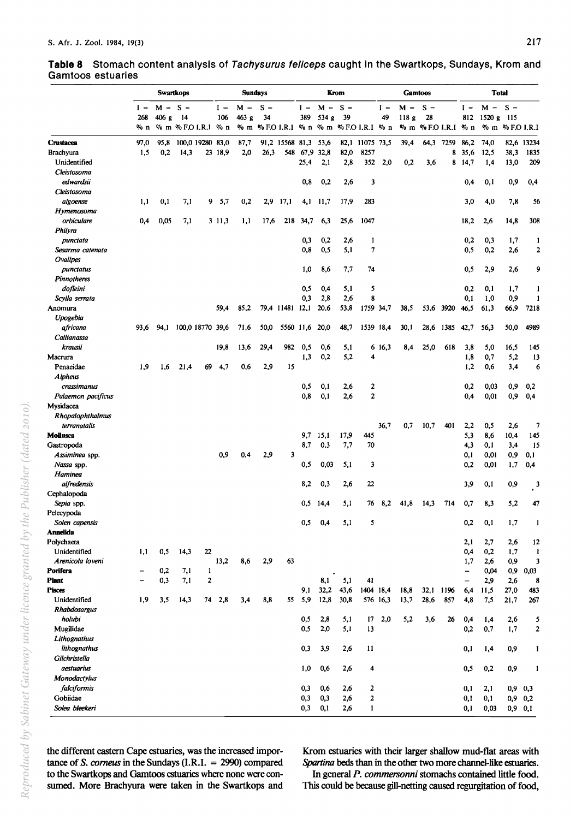|                              |        |           | <b>Swartkops</b> |                              |         |       | <b>Sundays</b> |                                         |            |             | Krom        |                 |          |       | <b>Gamtoos</b>     |           |                 | <b>Total</b> |                 |             |
|------------------------------|--------|-----------|------------------|------------------------------|---------|-------|----------------|-----------------------------------------|------------|-------------|-------------|-----------------|----------|-------|--------------------|-----------|-----------------|--------------|-----------------|-------------|
|                              | $I =$  | $M = S =$ |                  |                              | $I =$   | $M =$ | $S =$          |                                         | $I =$      | $M = S =$   |             |                 | $I =$    | $M =$ | $S =$              |           | $I =$           | $M = S =$    |                 |             |
|                              | 268    | 406 g     | 14               |                              | 106     | 463g  | 34             |                                         | 389        | 534 g       | 39          |                 | 49       | 118g  | 28                 |           | 812             | $1520 g$ 115 |                 |             |
|                              | $\%$ n |           |                  | $\%$ m $\%$ F.O I.R.1 $\%$ n |         |       |                | % m % F.O I.R.I % n % m % F.O I.R.I % n |            |             |             |                 |          |       | $%$ m $%$ FO I.R.I |           | $\frac{m}{2}$ n |              | % m % F.O I.R.I |             |
| Crustacea                    | 97,0   | 95,8      |                  | 100.0 19280 83.0             |         | 87,7  |                | 91,2 15568 81,3                         |            | 53,6        |             | 82,1 11075 73.5 |          | 39,4  | 64.3               | 7259      | 86,2            | 74,0         |                 | 82,6 13234  |
| Brachyura                    | 1,5    | 0,2       | 14,3             |                              | 23 18,9 | 2,0   | 26,3           | 548                                     | 67.9       | 32,8        | 82,0        | 8257            |          |       |                    | 8         | 35,6            | 12,5         | 38,3            | 1835        |
| Unidentified                 |        |           |                  |                              |         |       |                |                                         | 25,4       | 2,1         | 2,8         | 352             | 2,0      | 0,2   | 3.6                | 8         | 14,7            | 1,4          | 13,0            | 209         |
| Cleistosoma                  |        |           |                  |                              |         |       |                |                                         |            |             |             |                 |          |       |                    |           |                 |              |                 |             |
| edwardsii                    |        |           |                  |                              |         |       |                |                                         | 0,8        | 0,2         | 2,6         | 3               |          |       |                    |           | 0.4             | 0,1          | 0,9             | 0,4         |
| Cleistosoma                  |        |           |                  |                              |         |       |                |                                         |            |             |             |                 |          |       |                    |           |                 |              |                 |             |
| algoense                     | 1,1    | 0,1       | 7,1              | 9.                           | 5,7     | 0,2   | 2,9            | 17,1                                    | 4,1        | - 11,7      | 17,9        | 283             |          |       |                    |           | 3,0             | 4,0          | 7,8             | 56          |
| Hymenosoma                   |        |           |                  |                              |         |       |                |                                         |            |             |             |                 |          |       |                    |           |                 |              |                 |             |
| orbiculare                   | 0,4    | 0,05      | 7,1              |                              | 3 11.3  | 1,1   | 17,6           | 218                                     | 34,7       | 6,3         | 25,6        | 1047            |          |       |                    |           | 18,2            | 2,6          | 14,8            | 308         |
| Philyra                      |        |           |                  |                              |         |       |                |                                         |            |             |             |                 |          |       |                    |           |                 |              |                 |             |
| punctata                     |        |           |                  |                              |         |       |                |                                         | 0,3        | 0,2         | 2,6         | 1               |          |       |                    |           | 0,2             | 0,3          | 1,7             | 1           |
| Sesarma catenata             |        |           |                  |                              |         |       |                |                                         | 0,8        | 0,5         | 5,1         | 7               |          |       |                    |           | 0,5             | 0,2          | 2,6             | 2           |
| Ovalipes                     |        |           |                  |                              |         |       |                |                                         |            |             |             |                 |          |       |                    |           |                 |              |                 |             |
| punctatus                    |        |           |                  |                              |         |       |                |                                         | 1,0        | 8,6         | 7,7         | 74              |          |       |                    |           | 0, 5            | 2,9          | 2,6             | 9           |
| Pinnotheres                  |        |           |                  |                              |         |       |                |                                         |            |             |             |                 |          |       |                    |           |                 |              |                 |             |
| dofleini                     |        |           |                  |                              |         |       |                |                                         | 0,5        | 0,4         | 5,1         | 5               |          |       |                    |           | 0,2             | 0,1          | 1,7             | 1           |
| Scylla serrata               |        |           |                  |                              |         |       |                |                                         | 0,3        | 2,8         | 2,6         | 8               |          |       |                    |           | 0,1             | 1,0          | 0,9             | 1           |
| Anomura                      |        |           |                  |                              | 59,4    | 85,2  |                | 79,4 11481 12,1                         |            | 20,6        | 53,8        | 1759 34,7       |          | 38,5  | 53,6               | 3920      | 46,5            | 61,3         | 66,9            | 7218        |
| Upogebia                     |        |           |                  |                              |         |       |                |                                         |            |             |             |                 |          |       |                    |           |                 |              |                 |             |
| africana                     | 93,6   | 94,1      |                  | 100,0 18770 39,6             |         | 71,6  | 50,0           |                                         | 5560 11,6  | 20,0        | 48,7        | 1539 18,4       |          | 30,1  | 28,6               | 1385      | 42,7            | 56,3         | 50,0            | 4989        |
| Callianassa                  |        |           |                  |                              |         |       |                |                                         |            |             |             |                 |          |       |                    |           |                 |              |                 |             |
| krausii                      |        |           |                  |                              | 19,8    | 13,6  | 29,4           | 982                                     | 0,5        | 0,6         | 5,1         |                 | 6 16,3   | 8,4   | 25,0               | 618       | 3,8             | 5,0          | 16,5            | 145         |
| Macrura                      |        |           |                  |                              |         |       |                |                                         | 1,3        | 0,2         | 5,2         | 4               |          |       |                    |           | 1,8             | 0,7          | 5,2             | 13          |
| Penaeidae                    | 1,9    | 1,6       | 21,4             | 69                           | 4,7     | 0.6   | 2,9            | 15                                      |            |             |             |                 |          |       |                    |           | 1,2             | 0.6          | 3,4             | 6           |
| <b>Alpheus</b>               |        |           |                  |                              |         |       |                |                                         |            |             |             |                 |          |       |                    |           |                 |              |                 |             |
| crassimanus                  |        |           |                  |                              |         |       |                |                                         | 0,5        | 0,1         | 2,6         | 2               |          |       |                    |           | 0,2             | 0.03         | 0,9             | 0,2         |
| Palaemon pacificus           |        |           |                  |                              |         |       |                |                                         | 0,8        | 0,1         | 2,6         | $\mathbf{2}$    |          |       |                    |           | 0,4             | 0.01         | 0,9             | 0,4         |
| Mysidacea                    |        |           |                  |                              |         |       |                |                                         |            |             |             |                 |          |       |                    |           |                 |              |                 |             |
| Rhopalophthalmus             |        |           |                  |                              |         |       |                |                                         |            |             |             |                 |          |       |                    |           |                 |              |                 |             |
| terranatalis                 |        |           |                  |                              |         |       |                |                                         |            |             |             |                 | 36,7     | 0,7   | 10,7               | 401       | 2,2             | 0,5          | 2,6             | 7           |
| <b>Mollusca</b>              |        |           |                  |                              |         |       |                |                                         | 9,7<br>8,7 | 15,1<br>0,3 | 17,9<br>7,7 | 445<br>70       |          |       |                    |           | 5,3             | 8,6          | 10,4            | 145         |
| Gastropoda<br>Assiminea spp. |        |           |                  |                              | 0.9     | 0.4   | 2,9            | 3                                       |            |             |             |                 |          |       |                    |           | 4,3<br>0,1      | 0,1<br>0,01  | 3,4<br>0,9      | 15<br>0,1   |
| Nassa spp.                   |        |           |                  |                              |         |       |                |                                         | 0,5        | 0,03        | 5,1         | 3               |          |       |                    |           | 0,2             | 0,01         | 1,7             | 0,4         |
| Haminea                      |        |           |                  |                              |         |       |                |                                         |            |             |             |                 |          |       |                    |           |                 |              |                 |             |
| alfredensis                  |        |           |                  |                              |         |       |                |                                         | 8.2        | 0,3         | 2,6         | 22              |          |       |                    |           | 3,9             | 0,1          | 0,9             | 3           |
| Cephalopoda                  |        |           |                  |                              |         |       |                |                                         |            |             |             |                 |          |       |                    |           |                 |              |                 |             |
| Sepia spp.                   |        |           |                  |                              |         |       |                |                                         | 0,5        | 14,4        | 5,1         | 76              | 8,2      | 41,8  | 14,3               | 714       | 0,7             | 8,3          | 5,2             | 47          |
| Pelecypoda                   |        |           |                  |                              |         |       |                |                                         |            |             |             |                 |          |       |                    |           |                 |              |                 |             |
| Solen capensis               |        |           |                  |                              |         |       |                |                                         | 0,5        | 0,4         | 5,1         | 5               |          |       |                    |           | 0,2             | 0,1          | 1,7             | 1           |
| <b>Annelida</b>              |        |           |                  |                              |         |       |                |                                         |            |             |             |                 |          |       |                    |           |                 |              |                 |             |
| Polychaeta                   |        |           |                  |                              |         |       |                |                                         |            |             |             |                 |          |       |                    |           | 2,1             | 2,7          | 2,6             | 12          |
| Unidentified                 | 1,1    | 0,5       | 14,3             | 22                           |         |       |                |                                         |            |             |             |                 |          |       |                    |           | 0,4             | 0,2          | 1,7             | 1           |
| Arenicola loveni             |        |           |                  |                              | 13,2    | 8,6   | 2,9            | 63                                      |            |             |             |                 |          |       |                    |           | 1,7             | 2,6          | 0,9             | 3           |
| Porifera                     | -      | 0,2       | 7,1              | 1                            |         |       |                |                                         |            |             |             |                 |          |       |                    |           |                 | 0,04         | 0,9             | 0,03        |
| <b>Plant</b>                 | -      | 0,3       | 7,1              | 2                            |         |       |                |                                         |            | 8,1         | 5,1         | 41              |          |       |                    |           |                 | 2,9          | 2,6             | 8           |
| <b>Pisces</b>                |        |           |                  |                              |         |       |                |                                         | 9,1        | 32,2        | 43.6        | 1404 18,4       |          | 18,8  |                    | 32,1 1196 | 6,4             | 11,5         | 27,0            | 483         |
| Unidentified                 | 1,9    | 3,5       | 14,3             | 74                           | 2,8     | 3,4   | 8,8            | 55                                      | 5,9        | 12,8        | 30,8        |                 | 576 16,3 | 13,7  | 28,6               | 857       | 4,8             | 7,5          | 21,7            | 267         |
| <b>Rhabdosargus</b>          |        |           |                  |                              |         |       |                |                                         |            |             |             |                 |          |       |                    |           |                 |              |                 |             |
| holubi                       |        |           |                  |                              |         |       |                |                                         | 0,5        | 2,8         | 5,1         | 17              | 2,0      | 5,2   | 3,6                | 26        | 0,4             | 1,4          | 2,6             | 5           |
| Mugilidae                    |        |           |                  |                              |         |       |                |                                         | 0,5        | 2,0         | 5,1         | 13              |          |       |                    |           | 0,2             | 0,7          | 1,7             | 2           |
| Lithognathus                 |        |           |                  |                              |         |       |                |                                         |            |             |             |                 |          |       |                    |           |                 |              |                 |             |
| lithognathus                 |        |           |                  |                              |         |       |                |                                         | 0,3        | 3,9         | 2,6         | 11              |          |       |                    |           | 0,1             | 1,4          | 0,9             | 1           |
| Gilchristella                |        |           |                  |                              |         |       |                |                                         |            |             |             |                 |          |       |                    |           |                 |              |                 |             |
| <i>aestuarius</i>            |        |           |                  |                              |         |       |                |                                         | 1,0        | 0,6         | 2,6         | 4               |          |       |                    |           | 0,5             | 0,2          | 0,9             | 1           |
| <b>Monodactylus</b>          |        |           |                  |                              |         |       |                |                                         |            |             |             |                 |          |       |                    |           |                 |              |                 |             |
| <i>falciformis</i>           |        |           |                  |                              |         |       |                |                                         | 0,3        | 0,6         | 2,6         | 2               |          |       |                    |           | 0,1             | 2,1          |                 | $0,9$ $0,3$ |
| Gobiidae                     |        |           |                  |                              |         |       |                |                                         | 0,3        | 0,3         | 2,6         | 2               |          |       |                    |           | 0,1             | 0,1          |                 | $0,9$ 0,2   |
| Solea bleekeri               |        |           |                  |                              |         |       |                |                                         | $_{0,3}$   | 0,1         | 2,6         | 1               |          |       |                    |           | 0,1             | 0,03         | $0,9$ $0,1$     |             |

**Table 8** Stomach content analysis of Tachysurus feliceps caught in the Swartkops, Sundays, Krom and Gamtoos estuaries

the different eastern Cape estuaries, was the increased importance of S. *comeus* in the Sundays (I.R.I. = 2990) compared to the Swartkops and Gamtoos estuaries where none were consumed. More Brachyura were taken in the Swartkops and Krom estuaries with their larger shallow mud-flat areas with Spartina beds than in the other two more channel-like estuaries.

In general P. *commersonni* stomachs contained little food. This could be because gill-netting caused regurgitation of food,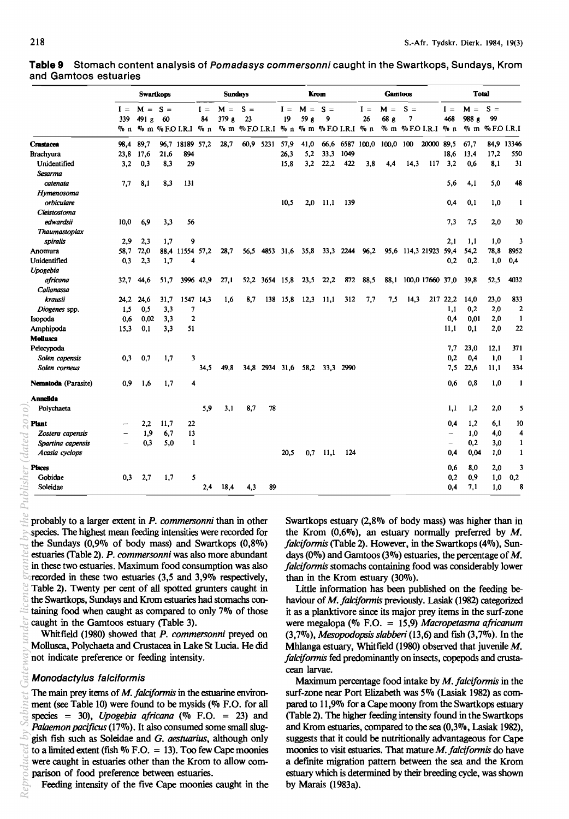|                            |              | <b>Swartkops</b><br>$M = S =$ |      |                           |             | <b>Sundays</b> |                  |                |             |               | Krom                |           |             | <b>Gamtoos</b>   |            |                  |                          | <b>Total</b>   |                 |                |
|----------------------------|--------------|-------------------------------|------|---------------------------|-------------|----------------|------------------|----------------|-------------|---------------|---------------------|-----------|-------------|------------------|------------|------------------|--------------------------|----------------|-----------------|----------------|
|                            | $I =$<br>339 | 491 g                         | 60   |                           | $I =$<br>84 | $M =$<br>379 g | $S =$<br>23      |                | $I =$<br>19 | $M =$<br>59 g | $S =$<br>9          |           | $I =$<br>26 | $M =$<br>68 g    | $S =$<br>7 |                  | $I =$<br>468             | $M =$<br>988 g | $S =$<br>99     |                |
|                            | % п          |                               |      | $%$ m $%$ F.O I.R.I $%$ n |             |                | % m %FOI.R.I % n |                |             |               | % m % F.O I.R.I % n |           |             |                  |            | % m %FOI.R.I % n |                          |                | % m % F.O I.R.I |                |
| Crustacea                  | 98,4         | 89,7                          |      | 96,7 18189 57,2           |             | 28,7           | 60,9             | 5231           | 57,9        | 41,0          | 66,6                |           |             | 6587 100,0 100,0 | 100        | 20000 89,5       |                          | 67,7           |                 | 84,9 13346     |
| <b>Brachyura</b>           | 23,8         | 17,6                          | 21,6 | 894                       |             |                |                  |                | 26,3        | 5,2           | 33,3                | 1049      |             |                  |            |                  | 18,6                     | 13,4           | 17,2            | 550            |
| Unidentified               | 3.2          | 0,3                           | 8,3  | 29                        |             |                |                  |                | 15.8        | 3,2           | 22,2                | 422       | 3.8         | 4.4              | 14.3       | 117              | 3.2                      | 0.6            | 8.1             | 31             |
| Sesarma                    |              |                               |      |                           |             |                |                  |                |             |               |                     |           |             |                  |            |                  |                          |                |                 |                |
| catenata                   | 7,7          | 8,1                           | 8,3  | 131                       |             |                |                  |                |             |               |                     |           |             |                  |            |                  | 5,6                      | 4.1            | 5,0             | 48             |
| Hymenosoma                 |              |                               |      |                           |             |                |                  |                |             |               |                     |           |             |                  |            |                  |                          |                |                 |                |
| orbiculare                 |              |                               |      |                           |             |                |                  |                | 10,5        | 2,0           | 11,1                | 139       |             |                  |            |                  | 0,4                      | 0,1            | 1,0             | 1              |
| Cleistostoma               |              |                               |      |                           |             |                |                  |                |             |               |                     |           |             |                  |            |                  |                          |                |                 |                |
| edwardsii                  | 10.0         | 6,9                           | 3,3  | 56                        |             |                |                  |                |             |               |                     |           |             |                  |            |                  | 7,3                      | 7,5            | 2,0             | 30             |
| Thaumastoplax              |              |                               |      |                           |             |                |                  |                |             |               |                     |           |             |                  |            |                  |                          |                |                 |                |
| spiralis                   | 2,9          | 23                            | 1.7  | 9                         |             |                |                  |                |             |               |                     |           |             |                  |            |                  | 2.1                      | 1,1            | 1,0             | 3              |
| Anomura                    | 58.7         | 72,0                          |      | 88.4 11554 57.2           |             | 28.7           | 56.5             | 4853           | 31.6        | 35,8          |                     | 33,3 2244 | 96,2        |                  |            | 95,6 114,3 21923 | 59,4                     | 54,2           | 78,8            | 8952           |
| Unidentified               | 0,3          | 2,3                           | 1,7  | 4                         |             |                |                  |                |             |               |                     |           |             |                  |            |                  | 0,2                      | 0.2.           | 1,0             | 0,4            |
| Upogebia                   |              |                               |      |                           |             |                |                  |                |             |               |                     |           |             |                  |            |                  |                          |                |                 |                |
| africana                   | 32.7         | 44,6                          | 51.7 |                           | 3996 42,9   | 27.1           |                  | 52,2 3654 15,8 |             | 23,5          | 22,2                | 872       | 88,5        | 88.1             |            | 100,0 17660 37,0 |                          | 39.8           | 52,5            | 4032           |
| Calianassa                 |              |                               |      |                           |             |                |                  |                |             |               |                     |           |             |                  |            |                  |                          |                |                 |                |
| krausii                    | 24.2         | 24.6                          | 31,7 | 1547 14,3                 |             | 1,6            | 8,7              |                | 138 15,8    | 12,3          | 11,1                | 312       | 7,7         | 7,5              | 14,3       | 217              | 22.2                     | 14.0           | 23,0            | 833            |
| Diogenes spp.              | 1,5          | 0,5                           | 3,3  | 7                         |             |                |                  |                |             |               |                     |           |             |                  |            |                  | 1,1                      | 0,2            | 2,0             | $\overline{2}$ |
| Isopoda                    | 0,6          | 0,02                          | 3,3  | $\mathbf{2}$              |             |                |                  |                |             |               |                     |           |             |                  |            |                  | 0,4                      | 0.01           | 2,0             | 1              |
| Amphipoda                  | 15,3         | 0.1                           | 3,3  | 51                        |             |                |                  |                |             |               |                     |           |             |                  |            |                  | 11,1                     | 0.1            | 2,0             | 22             |
| Mollusca                   |              |                               |      |                           |             |                |                  |                |             |               |                     |           |             |                  |            |                  |                          |                |                 |                |
| Pelecypoda                 |              |                               |      |                           |             |                |                  |                |             |               |                     |           |             |                  |            |                  | 7,7                      | 23,0           | 12,1            | 371            |
| Solen capensis             | 0,3          | 0,7                           | 1,7  | 3                         |             |                |                  |                |             |               |                     |           |             |                  |            |                  | 0.2                      | 0,4            | 1,0             | 1              |
| Solen corneus              |              |                               |      |                           | 34.5        | 49.8           |                  | 34.8 2934 31.6 |             | 58,2          | 33.3                | 2990      |             |                  |            |                  | 7.5                      | 22,6           | 11,1            | 334            |
| <b>Nematoda</b> (Parasite) | 0,9          | 1,6                           | 1,7  | 4                         |             |                |                  |                |             |               |                     |           |             |                  |            |                  | 0.6                      | 0.8            | 1,0             | 1              |
| Annelida                   |              |                               |      |                           |             |                |                  |                |             |               |                     |           |             |                  |            |                  |                          |                |                 |                |
| Polychaeta                 |              |                               |      |                           | 5,9         | 3.1            | 8,7              | 78             |             |               |                     |           |             |                  |            |                  | 1,1                      | 1,2            | 2,0             | 5              |
| Plant                      |              | 2,2                           | 11,7 | 22                        |             |                |                  |                |             |               |                     |           |             |                  |            |                  | 0,4                      | 1,2            | 6,1             | 10             |
| Zostera capensis           |              | 1,9                           | 6,7  | 13                        |             |                |                  |                |             |               |                     |           |             |                  |            |                  | $\overline{\phantom{a}}$ | 1,0            | 4,0             | 4              |
| Spartina capensis          |              | 0.3                           | 5.0  | $\mathbf{1}$              |             |                |                  |                |             |               |                     |           |             |                  |            |                  |                          | 0,2            | 3,0             | 1              |
| Acasia cyclops             |              |                               |      |                           |             |                |                  |                | 20,5        | 0,7           | 11,1                | 124       |             |                  |            |                  | 0,4                      | 0,04           | 1,0             | 1              |
| <b>Pisces</b>              |              |                               |      |                           |             |                |                  |                |             |               |                     |           |             |                  |            |                  | 0.6                      | 8,0            | 2,0             | 3              |
| Gobidae                    | 0.3          | 2,7                           | 1,7  | 5                         |             |                |                  |                |             |               |                     |           |             |                  |            |                  | 0.2                      | 0,9            | 1,0             | 0,2            |
| Soleidae                   |              |                               |      |                           | 2,4         | 18,4           | 4,3              | 89             |             |               |                     |           |             |                  |            |                  | 0,4                      | 7.1            | 1,0             | 8              |

**Table 9** Stomach content analysis of Pomadasys commersonni caught in the Swartkops, Sundays, Krom and Gamtoos estuaries

probably to a larger extent in *P. commersonn;* than in other species. The highest mean feeding intensities were recorded for the Sundays  $(0,9\% \text{ of body mass})$  and Swartkops  $(0,8\%)$ estuaries (Table 2). *P. commersonn;* was also more abundant in these two estuaries. Maximum food consumption was also recorded in these two estuaries (3,5 and 3,9% respectively, Table 2). Twenty per cent of all spotted grunters caught in the Swartkops, Sundays and Krom estuaries had stomachs containing food when caught as compared to only 7% of those caught in the Gamtoos estuary (Table 3). *Reproduced by Sabinet Gateway under licence granted by the Publisher (dated 2010).*

Whitfield (1980) showed that *P. commersonn;* preyed on Mollusca, Polychaeta and Crustacea in Lake St Lucia. He did not indicate preference or feeding intensity.

#### Monodactylus falciformis

The main prey items of *M. falciformis* in the estuarine environment (see Table 10) were found to be mysids (% F.O. for all species = 30), *Upogebia africana*  $(\%$  F.O. = 23) and *Palaemon pacijicus* (17%). It also consumed some small sluggish fish such as Soleidae and G. *aestuarius,* although only to a limited extent (fish  $\%$  F.O. = 13). Too few Cape moonies were caught in estuaries other than the Krom to allow comparison of food preference between estuaries.

Feeding intensity of the five Cape moonies caught in the

Swartkops estuary (2,8% of body mass) was higher than in the Krom  $(0.6\%)$ , an estuary normally preferred by M. *falcifonnis* (Table 2). However, in the Swartkops (4%), Sundays (0%) and Gamtoos (3%) estuaries, the percentage of  $M$ . *falcifonnis* stomachs containing food was considerably lower than in the Krom estuary (30%).

Little information has been published on the feeding behaviour of *M.falcifonnis* previously. Lasiak (1982) categorized it as a planktivore since its major prey items in the surf-zone were megalopa (% F.O. = 15,9) *Macropetasma africanum (3,7%), Mesopodopsis slabberi* (13,6) and fish (3,7%). In the Mhlanga estuary, Whitfield (1980) observed that juvenile M. *falcifonnis* fed predominantly on insects, copepods and crustacean larvae.

Maximum percentage food intake by *M. falcifonnis* in the surf-zone near Port Elizabeth was 5% (Lasiak 1982) as compared to 11,9% for a Cape moony from the Swartkops estuary (Table 2). The higher feeding intensity found in the Swartkops and Krom estuaries, compared to the sea (0,3%, Lasiak 1982), suggests that it could be nutritionally advantageous for Cape moonies to visit estuaries. That mature *M. falcifonnis* do have a defmite migration pattern between the sea and the Krom estuary which is determined by their breeding cycle, was shown by Marais (1983a).

Publisher (dated 2010)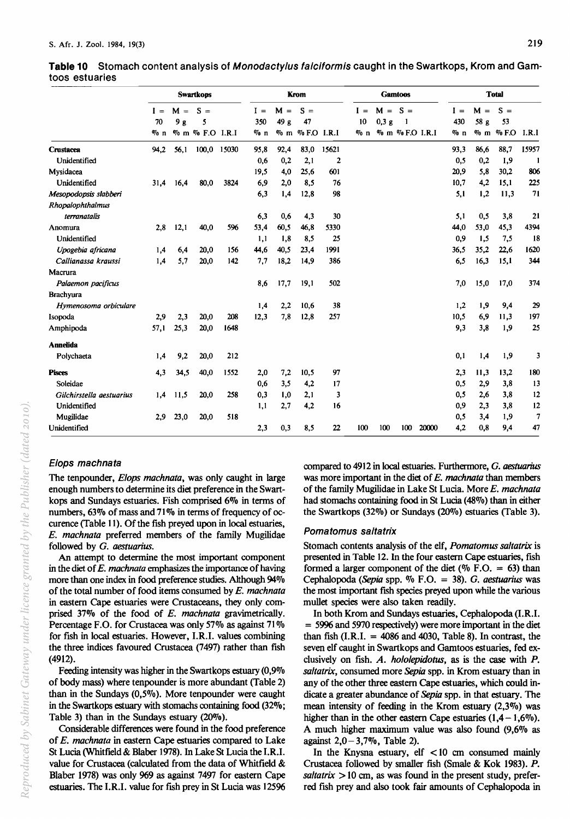|                          |             |             | <b>Swartkops</b> |      |              |               | Krom        |       |             |                   | <b>Gamtoos</b> |                 |              |               | <b>Total</b> |       |
|--------------------------|-------------|-------------|------------------|------|--------------|---------------|-------------|-------|-------------|-------------------|----------------|-----------------|--------------|---------------|--------------|-------|
|                          | $I =$<br>70 | $M =$<br>9g | $S =$<br>5       |      | $I =$<br>350 | $M =$<br>49 g | $S =$<br>47 |       | $I =$<br>10 | $M = S =$<br>0,3g | 1              |                 | $I =$<br>430 | $M =$<br>58 g | $S =$<br>53  |       |
|                          | $\%$ n      |             | % m % F.O I.R.I  |      | $\%$ n       | $\%$ m        | % F.O I.R.I |       | $\%$ n      |                   |                | % m % F.O I.R.I | $\%$ n       | $\%$ m        | $\%$ F.O     | I.R.I |
| Crustacea                | 94,2        | 56.1        | 100,0 15030      |      | 95,8         | 92,4          | 83,0        | 15621 |             |                   |                |                 | 93,3         | 86,6          | 88,7         | 15957 |
| Unidentified             |             |             |                  |      | 0.6          | 0,2           | 2,1         | 2     |             |                   |                |                 | 0.5          | 0,2           | 1,9          | -1    |
| Mysidacea                |             |             |                  |      | 19,5         | 4,0           | 25.6        | 601   |             |                   |                |                 | 20,9         | 5.8           | 30,2         | 806   |
| Unidentified             | 31,4        | 16.4        | 80,0             | 3824 | 6,9          | 2,0           | 8,5         | 76    |             |                   |                |                 | 10.7         | 4,2           | 15.1         | 225   |
| Mesopodopsis slabberi    |             |             |                  |      | 6,3          | 1,4           | 12,8        | 98    |             |                   |                |                 | 5,1          | 1,2           | 11,3         | 71    |
| Rhopalophthalmus         |             |             |                  |      |              |               |             |       |             |                   |                |                 |              |               |              |       |
| terranatalis             |             |             |                  |      | 6,3          | 0,6           | 4,3         | 30    |             |                   |                |                 | 5,1          | 0,5           | 3,8          | 21    |
| Anomura                  | 2,8         | 12,1        | 40,0             | 596  | 53,4         | 60.5          | 46.8        | 5330  |             |                   |                |                 | 44,0         | 53,0          | 45.3         | 4394  |
| Unidentified             |             |             |                  |      | 1,1          | 1,8           | 8,5         | 25    |             |                   |                |                 | 0,9          | 1,5           | 7.5          | 18    |
| Upogebia africana        | 1,4         | 6.4         | 20,0             | 156  | 44,6         | 40,5          | 23,4        | 1991  |             |                   |                |                 | 36.5         | 35,2          | 22.6         | 1620  |
| Callianassa kraussi      | 1,4         | 5,7         | 20.0             | 142  | 7,7          | 18,2          | 14,9        | 386   |             |                   |                |                 | 6,5          | 16,3          | 15.1         | 344   |
| Macrura                  |             |             |                  |      |              |               |             |       |             |                   |                |                 |              |               |              |       |
| Palaemon pacificus       |             |             |                  |      | 8.6          | 17,7          | 19,1        | 502   |             |                   |                |                 | 7,0          | 15.0          | 17,0         | 374   |
| <b>Brachvura</b>         |             |             |                  |      |              |               |             |       |             |                   |                |                 |              |               |              |       |
| Hymenosoma orbiculare    |             |             |                  |      | 1,4          | 2,2           | 10,6        | 38    |             |                   |                |                 | 1,2          | 1,9           | 9,4          | 29    |
| Isopoda                  | 2,9         | 2,3         | 20,0             | 208  | 12,3         | 7,8           | 12,8        | 257   |             |                   |                |                 | 10,5         | 6,9           | 11,3         | 197   |
| Amphipoda                | 57,1        | 25,3        | 20,0             | 1648 |              |               |             |       |             |                   |                |                 | 9,3          | 3,8           | 1,9          | 25    |
| <b>Annelida</b>          |             |             |                  |      |              |               |             |       |             |                   |                |                 |              |               |              |       |
| Polychaeta               | 1,4         | 9,2         | 20,0             | 212  |              |               |             |       |             |                   |                |                 | 0,1          | 1,4           | 1,9          | 3     |
| <b>Pisces</b>            | 4,3         | 34,5        | 40,0             | 1552 | 2,0          | 7,2           | 10.5        | 97    |             |                   |                |                 | 2.3          | 11.3          | 13.2         | 180   |
| Soleidae                 |             |             |                  |      | 0,6          | 3,5           | 4,2         | 17    |             |                   |                |                 | 0.5          | 2,9           | 3.8          | 13    |
| Gilchirstella aestuarius | 1,4         | 11.5        | 20,0             | 258  | 0,3          | 1,0           | 2,1         | 3     |             |                   |                |                 | 0,5          | 2,6           | 3,8          | 12    |
| Unidentified             |             |             |                  |      | 1,1          | 2,7           | 4.2         | 16    |             |                   |                |                 | 0,9          | 2,3           | 3,8          | 12    |
| Mugilidae                | 2.9         | 23,0        | 20,0             | 518  |              |               |             |       |             |                   |                |                 | 0,5          | 3,4           | 1,9          | 7     |
| Unidentified             |             |             |                  |      | 2,3          | 0,3           | 8,5         | 22    | 100         | 100               | 100            | 20000           | 4,2          | 0,8           | 9,4          | 47    |

**Table 10** Stomach content analysis of Monodacty/us fa/ciformis caught in the Swartkops, Krom and Gamtoos estuaries

# Elops machnata

The tenpounder, *E/ops machnata,* was only caught in large enough numbers to determine its diet preference in the Swartkops and Sundays estuaries. Fish comprised *6070* in terms of numbers, 63% of mass and 71% in terms of frequency of occurence (Table 11). Of the fish preyed upon in local estuaries, *E. machnata* preferred members of the family Mugilidae followed by G. *aestuarius.* 

An attempt to detennine the most important component in the diet of *E. machnata* emphasizes the importance of having more than one index in food preference studies. Although 94% of the total number of food items consumed by *E. machnata*  in eastern Cape estuaries were Crustaceans, they only comprised 37% of the food of *E. machnata* gravimetrically. Percentage F.O. for Crustacea was only 57% as against 71 % for fish in local estuaries. However, I.R.I. values combining the three indices favoured Crustacea (7497) rather than fish (4912).

Feeding intensity was higher in the Swartkops estuary (0,9% of body mass) where tenpounder is more abundant (Table 2) than in the Sundays (0,5%). More tenpounder were caught in the Swartkops estuary with stomachs containing food (32%; Table 3) than in the Sundays estuary (20%).

Considerable differences were found in the food preference of *E. machnata* in eastern Cape estuaries compared to Lake St Lucia (Whitfield & Blaher 1978). In Lake St Lucia the I.R.I. value for Crustacea (calculated from the data of Whitfield & Blaber 1978) was only 969 as against 7497 for eastern Cape estuaries. The I.R.I. value for fish prey in St Lucia was 12596

compared to 4912 in local estuaries. Furthermore, G. *aestuarius*  was more important in the diet of *E. machnata* than members of the family Mugilidae in Lake St Lucia. More *E. machnata*  had stomachs containing food in St Lucia (48%) than in either the Swartkops (32%) or Sundays (20%) estuaries (Table 3).

# Pomatomus sa/tatrix

Stomach contents analysis of the elf, *Pomatomus saltatrix* is presented in Table 12. In the four eastern Cape estuaries, fish formed a larger component of the diet (%  $F.O. = 63$ ) than Cephalopoda *(Sepia* spp. % F.O. = 38). G. *aestuarius* was the most important fish species preyed upon while the various mullet species were also taken readily.

In both Krom and Sundays estuaries, Cephalopoda (I.R.I. = 5996 and 5970 respectively) were more important in the diet than fish  $(I.R.I. = 4086$  and 4030, Table 8). In contrast, the seven elf caught in Swartkops and Gamtoos estuaries, fed exclusively on fish. *A. hololepidotus*, as is the case with *P*. *sa/tatrix,* consumed more *Sepia* spp. in Krom estuary than in any of the other three eastern Cape estuaries, which could indicate a greater abundance of *Sepia* spp. in that estuary. The mean intensity of feeding in the Krom estuary (2,3%) was higher than in the other eastern Cape estuaries  $(1,4-1,6\%)$ . A much higher maximum value was also found (9,6% as against  $2,0-3,7\%$ , Table 2).

In the Knysna estuary,  $elf$  < 10 cm consumed mainly Crustacea followed by smaller fish (Smale & Kok 1983). P.  $s$ *altatrix*  $> 10$  cm, as was found in the present study, preferred fish prey and also took fair amounts of Cephalopoda in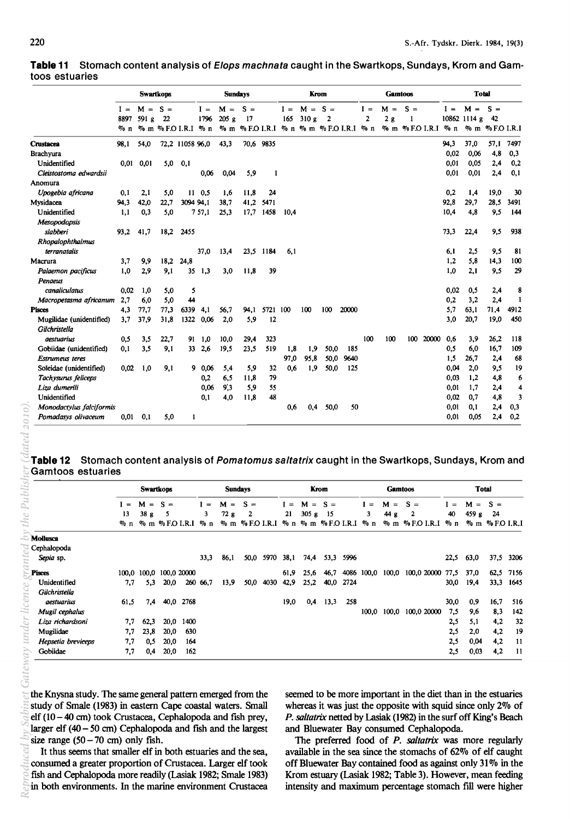|                          | <b>Swartkops</b> |               |                     | <b>Sundays</b>  |                |       | Krom  |           |       | <b>Gamtoos</b> |                                         |       | <b>Total</b> |       |                |       |        |              |                 |                     |
|--------------------------|------------------|---------------|---------------------|-----------------|----------------|-------|-------|-----------|-------|----------------|-----------------------------------------|-------|--------------|-------|----------------|-------|--------|--------------|-----------------|---------------------|
|                          | $I =$            | $M = S =$     |                     |                 | $I =$          | $M =$ | $S =$ |           | $I =$ | $M =$          | $S =$                                   |       | $I =$        | $M =$ | $S =$          |       | $I =$  | $M =$        | $S =$           |                     |
|                          | 8897             | 591g          | 22                  |                 | 1796           | 205g  | 17    |           | 165   | 310g           | 2                                       |       | 2            | 2g    |                |       |        | 10862 1114 g | - 42            |                     |
|                          | $\sqrt{20}$ n    |               | % m % F.O I.R.I % n |                 |                |       |       |           |       |                | % m % F.O I.R.I % n % m % F.O I.R.I % n |       |              |       | % m %F.O I.R.I |       | $\%$ n |              | % m % F.O I.R.I |                     |
| <b>Crustacea</b>         | 98.1             | 54,0          |                     | 72,2 11058 96,0 |                | 43,3  |       | 70,6 9835 |       |                |                                         |       |              |       |                |       | 94,3   | 37,0         | 57,1            | 7497                |
| <b>Brachvura</b>         |                  |               |                     |                 |                |       |       |           |       |                |                                         |       |              |       |                |       | 0.02   | 0,06         | 4.8             | 0,3                 |
| Unidentified             |                  | $0,01$ $0,01$ | 5,0                 | 0,1             |                |       |       |           |       |                |                                         |       |              |       |                |       | 0.01   | 0.05         | 2,4             | 0,2                 |
| Cleistostoma edwardsii   |                  |               |                     |                 | 0,06           | 0,04  | 5,9   | 1         |       |                |                                         |       |              |       |                |       | 0.01   | 0,01         | 2,4             | 0,1                 |
| Anomura                  |                  |               |                     |                 |                |       |       |           |       |                |                                         |       |              |       |                |       |        |              |                 |                     |
| Upogebia africana        | 0,1              | 2,1           | 5,0                 |                 | $11 \t0,5$     | 1,6   | 11.8  | 24        |       |                |                                         |       |              |       |                |       | 0,2    | 1,4          | 19,0            | 30                  |
| Mysidacea                | 94,3             | 42,0          | 22,7                | 3094 94,1       |                | 38.7  | 41,2  | 5471      |       |                |                                         |       |              |       |                |       | 92,8   | 29,7         | 28.5            | 3491                |
| Unidentified             | 1,1              | 0,3           | 5,0                 |                 | 757,1          | 25,3  | 17,7  | 1458      | 10.4  |                |                                         |       |              |       |                |       | 10,4   | 4.8          | 9,5             | 144                 |
| <b>Mesopodopsis</b>      |                  |               |                     |                 |                |       |       |           |       |                |                                         |       |              |       |                |       |        |              |                 |                     |
| slabberi                 | 93,2             | 41.7          | 18.2                | 2455            |                |       |       |           |       |                |                                         |       |              |       |                |       | 73,3   | 22,4         | 9,5             | 938                 |
| Rhopalophthalmus         |                  |               |                     |                 |                |       |       |           |       |                |                                         |       |              |       |                |       |        |              |                 |                     |
| terranatalis             |                  |               |                     |                 | 37,0           | 13,4  | 23.5  | 1184      | 6,1   |                |                                         |       |              |       |                |       | 6,1    | 2,5          | 9.5             | 81                  |
| Macrura                  | 3,7              | 9,9           | 18,2                | 24,8            |                |       |       |           |       |                |                                         |       |              |       |                |       | 1,2    | 5,8          | 14,3            | 100                 |
| Palaemon pacificus       | 1.0              | 2,9           | 9,1                 |                 | $35 \quad 1,3$ | 3.0   | 11.8  | 39        |       |                |                                         |       |              |       |                |       | 1.0    | 2.1          | 9,5             | 29                  |
| Penaeus                  |                  |               |                     |                 |                |       |       |           |       |                |                                         |       |              |       |                |       |        |              |                 |                     |
| canaliculatus            | 0.02             | 1,0           | 5,0                 | 5               |                |       |       |           |       |                |                                         |       |              |       |                |       | 0.02   | 0.5          | 2,4             | 8                   |
| Macropetasma africanum   | 2,7              | 6.0           | 5.0                 | 44              |                |       |       |           |       |                |                                         |       |              |       |                |       | 0.2    | 3,2          | 2,4             | 1                   |
| <b>Pisces</b>            | 4,3              | 77,7          | 77,3                | 6339            | 4.1            | 56.7  | 94,1  | 5721 100  |       | 100            | 100                                     | 20000 |              |       |                |       | 5,7    | 63,1         | 71.4            | 4912                |
| Mugilidae (unidentified) | 3.7              | 37.9          | 31,8                | 1322            | 0,06           | 2,0   | 5.9   | 12        |       |                |                                         |       |              |       |                |       | 3,0    | 20,7         | 19,0            | 450                 |
| Gilchristella            |                  |               |                     |                 |                |       |       |           |       |                |                                         |       |              |       |                |       |        |              |                 |                     |
| aestuarius               | 0,5              | 3.5           | 22,7                | 91              | 1,0            | 10,0  | 29,4  | 323       |       |                |                                         |       | 100          | 100   | 100            | 20000 | 0.6    | 3,9          | 26,2            | 118                 |
| Gobiidae (unidentified)  | 0,1              | 3,5           | 9,1                 | 33              | 2,6            | 19,5  | 23.5  | 519       | 1,8   | 1,9            | 50,0                                    | 185   |              |       |                |       | 0,5    | 6.0          | 16.7            | 109                 |
| <b>Estrumeus</b> teres   |                  |               |                     |                 |                |       |       |           | 97,0  | 95,8           | 50,0                                    | 9640  |              |       |                |       | 1.5    | 26,7         | 2,4             | 68                  |
| Soleidae (unidentified)  | 0.02             | 1.0           | 9,1                 |                 | 90.06          | 5,4   | 5,9   | 32        | 0.6   | 1,9            | 50,0                                    | 125   |              |       |                |       | 0,04   | 2,0          | 9,5             | 19                  |
| Tachysurus feliceps      |                  |               |                     |                 | 0,2            | 6,5   | 11,8  | 79        |       |                |                                         |       |              |       |                |       | 0,03   | 1,2          | 4,8             | 6                   |
| Liza dumerili            |                  |               |                     |                 | 0.06           | 9:3   | 5,9   | 55        |       |                |                                         |       |              |       |                |       | 0,01   | 1,7          | 2,4             | $\overline{\bf{4}}$ |
| Unidentified             |                  |               |                     |                 | 0,1            | 4,0   | 11,8  | 48        |       |                |                                         |       |              |       |                |       | 0.02   | 0.7          | 4,8             | 3                   |
| Monodactylus falciformis |                  |               |                     |                 |                |       |       |           | 0.6   | 0.4            | 50.0                                    | 50    |              |       |                |       | 0,01   | 0.1          | 2,4             | 0,3                 |
| Pomadasys olivaceum      | 0,01             | 0,1           | 5,0                 | 1               |                |       |       |           |       |                |                                         |       |              |       |                |       | 0.01   | 0.05         | 2,4             | 0,2                 |

**Table 11** Stomach content analysis of Elops machnata caught in the Swartkops, Sundays, Krom and Gamtoos estuaries

**Table 12** Stomach content analysis of Pomatomus saltatrix caught in the Swartkops, Sundays, Krom and Gamtoos estuaries

|                    | <b>Swartkops</b> |                        |                       | <b>Sundays</b> |      |          |                      | Krom |       |          | <b>Gamtoos</b>               |      |          | <b>Total</b> |             |      |          |                       |      |
|--------------------|------------------|------------------------|-----------------------|----------------|------|----------|----------------------|------|-------|----------|------------------------------|------|----------|--------------|-------------|------|----------|-----------------------|------|
|                    | $I =$            | М<br>$\qquad \qquad =$ | -S.<br>$\equiv$       |                | $=$  | М<br>$=$ | $S =$                |      | $I =$ | М<br>$=$ | $S =$                        |      | $\equiv$ | М<br>$=$     | $S =$       | I =  | М<br>$=$ | $S =$                 |      |
|                    | 13               | 38g                    |                       |                | 3    | 72g      | 2                    |      | 21    | 305 g    | -15                          |      | 3        | 44 g         | 2           | 40   | 459 g    | 24                    |      |
|                    | $\%$ n           |                        | $\%$ m $\%$ F.O I.R.I |                | % n  |          | $\%$ m $\%$ FO I.R.I |      |       |          | $\%$ n $\%$ m $\%$ F.O I.R.I |      | % n      | $\%$ m       | % F.O I.R.I | % n  |          | $\%$ m $\%$ F.O I.R.I |      |
| Mollusca           |                  |                        |                       |                |      |          |                      |      |       |          |                              |      |          |              |             |      |          |                       |      |
| Cephalopoda        |                  |                        |                       |                |      |          |                      |      |       |          |                              |      |          |              |             |      |          |                       |      |
| Sepia sp.          |                  |                        |                       |                | 33,3 | 86,1     | 50,0                 | 5970 | 38,1  | 74,4     | 53,3                         | 5996 |          |              |             | 22,5 | 63,0     | 37,5                  | 3206 |
| <b>Pisces</b>      |                  | 100.0 100.0            | 100,0 20000           |                |      |          |                      |      | 61,9  | 25.6     | 46,7                         | 4086 | 100,0    | 100,0        | 100,0 20000 | 77.5 | 37,0     | 62.5                  | 7156 |
| Unidentified       | 7.7              | 5.3                    | 20,0                  | 260            | 66,7 | 13,9     | 50.0                 | 4030 | 42.9  | 25.2     | 40.0                         | 2724 |          |              |             | 30,0 | 19,4     | 33,3                  | 1645 |
| Gilchristella      |                  |                        |                       |                |      |          |                      |      |       |          |                              |      |          |              |             |      |          |                       |      |
| <i>aestuarius</i>  | 61.5             | 7,4                    |                       | 40,0 2768      |      |          |                      |      | 19,0  | 0,4      | 13,3                         | 258  |          |              |             | 30,0 | 0.9      | 16,7                  | 516  |
| Mugil cephalus     |                  |                        |                       |                |      |          |                      |      |       |          |                              |      |          | 100,0 100,0  | 100,0 20000 | 7,5  | 9,6      | 8,3                   | 142  |
| Liza richardsoni   | 7,7              | 62,3                   | 20,0                  | 1400           |      |          |                      |      |       |          |                              |      |          |              |             | 2.5  | 5,1      | 4,2                   | 32   |
| Mugilidae          | 7.7              | 23,8                   | 20,0                  | 630            |      |          |                      |      |       |          |                              |      |          |              |             | 2,5  | 2.0      | 4,2                   | 19   |
| Hepsetia breviceps | 7.7              | 0,5                    | 20.0                  | 164            |      |          |                      |      |       |          |                              |      |          |              |             | 2,5  | 0,04     | 4,2                   | -11  |
| Gobiidae           | 7,7              | 0,4                    | 20,0                  | 162            |      |          |                      |      |       |          |                              |      |          |              |             | 2.5  | 0,03     | 4,2                   | -11  |

the Knysna study. The same general pattern emerged from the study of Smale (1983) in eastern Cape coastal waters. Small elf (10 - 40 cm) took Crustacea, Cephalopoda and fish prey, larger elf (40 - SO em) Cephalopoda and fish and the largest size range  $(50 - 70$  cm) only fish.

It thus seems that smaller elf in both estuaries and the sea, consumed a greater proportion of Crustacea. Larger elf took fish and Cephalopoda more readily (Lasiak 1982; Smale 1983) in both environments. In the marine environment Crustacea seemed to be more important in the diet than in the estuaries whereas it was just the opposite with squid since only  $2\%$  of *P. saltatrix* netted by Lasiak (1982) in the surf off King's Beach and Bluewater Bay consumed Cephalopoda.

The preferred food of *P. saltatrix* was more regularly available in the sea since the stomachs of 62% of elf caught off Bluewater Bay contained food as against only 31 % in the Krom estuary (Lasiak 1982; Table 3). However, mean feeding intensity and maximum percentage stomach fill were higher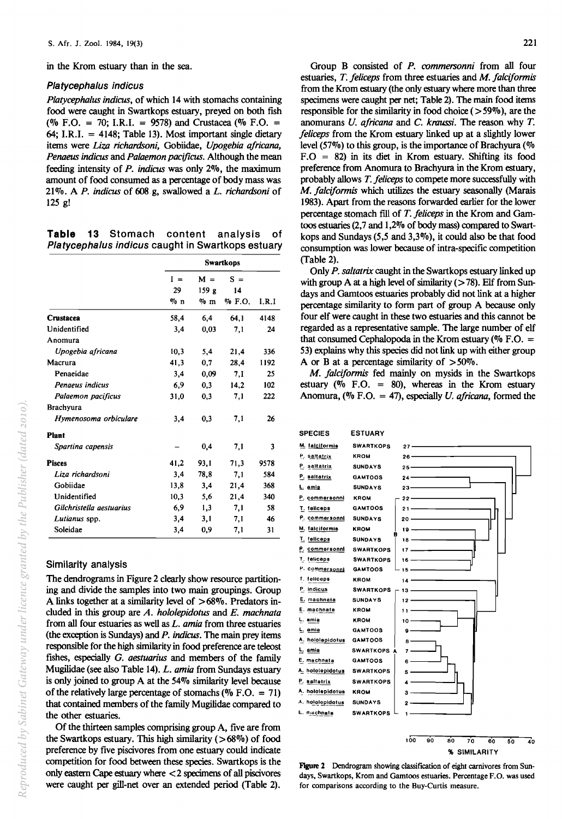in the Krom estuary than in the sea.

#### Platycephalus indicus

*Platyeephalus indicus,* of which 14 with stomachs containing food were caught in Swartkops estuary, preyed on both fish (% F.O. = 70; I.R.I. = 9578) and Crustacea (% F.O. = 64; I.R.I.  $=$  4148; Table 13). Most important single dietary items were *Liza richardsoni,* Gobiidae, *Upogebia africana, Penaeus indicus* and *Palaemon pacijicus.* Although the mean feeding intensity of *P. indicus* was only 2%, the maximum amount of food consumed as a percentage of body mass was 21 %. A *P. indicus* of 608 g, swal10wed a *L. richardsoni* of 125 g!

Table 13 Stomach content analysis of Platycephalus indicus caught in Swartkops estuary

|                          |       | <b>Swartkops</b> |           |       |  |  |  |  |
|--------------------------|-------|------------------|-----------|-------|--|--|--|--|
|                          | $I =$ | $M =$            | $S =$     |       |  |  |  |  |
|                          | 29    | 159 <sub>g</sub> | 14        |       |  |  |  |  |
|                          | % n   | $\%$ m           | $\%$ F.O. | I.R.I |  |  |  |  |
| Crustacea                | 58,4  | 6,4              | 64.1      | 4148  |  |  |  |  |
| Unidentified             | 3,4   | 0,03             | 7,1       | 24    |  |  |  |  |
| Anomura                  |       |                  |           |       |  |  |  |  |
| Upogebia africana        | 10.3  | 5,4              | 21,4      | 336   |  |  |  |  |
| Macrura                  | 41,3  | 0.7              | 28,4      | 1192  |  |  |  |  |
| Penaeidae                | 3,4   | 0.09             | 7.1       | 25    |  |  |  |  |
| Penaeus indicus          | 6,9   | 0.3              | 14.2      | 102   |  |  |  |  |
| Palaemon pacificus       | 31,0  | 0,3              | 7,1       | 222   |  |  |  |  |
| <b>Brachyura</b>         |       |                  |           |       |  |  |  |  |
| Hymenosoma orbiculare    | 3,4   | 0.3              | 7.1       | 26    |  |  |  |  |
| <b>Plant</b>             |       |                  |           |       |  |  |  |  |
| Spartina capensis        |       | 0,4              | 7,1       | 3     |  |  |  |  |
| <b>Pisces</b>            | 41,2  | 93,1             | 71,3      | 9578  |  |  |  |  |
| Liza richardsoni         | 3,4   | 78,8             | 7.1       | 584   |  |  |  |  |
| Gobiidae                 | 13,8  | 3,4              | 21,4      | 368   |  |  |  |  |
| Unidentified             | 10.3  | 5.6              | 21,4      | 340   |  |  |  |  |
| Gilchristella aestuarius | 6,9   | 1,3              | 7.1       | 58    |  |  |  |  |
| Lutianus spp.            | 3.4   | 3,1              | 7,1       | 46    |  |  |  |  |
| Soleidae                 | 3,4   | 0.9              | 7,1       | 31    |  |  |  |  |

#### Similarity analysis

The dendrograms in Figure 2 clearly show resource partitioning and divide the samples into two main groupings. Group A links together at a similarity level of >68%. Predators included in this group are *A. hololepidotus* and *E. machnata*  from all four estuaries as well as *L. amia* from three estuaries (the exception is Sundays) and P. *indicus.* The main prey items responsible for the high similarity in food preference are teleost fishes, especially *O. aestuarius* and members of the family Mugilidae (see also Table 14). *L. amia* from Sundays estuary is only joined to group A at the 54% similarity level because of the relatively large percentage of stomachs ( $\%$  F.O. = 71) that contained members of the family Mugilidae compared to the other estuaries.

Of the thirteen samples comprising group A, five are from the Swartkops estuary. This high similarity  $(>68\%)$  of food preference by five piscivores from one estuary could indicate competition for food between these species. Swartkops is the only eastern Cape estuary where < 2 specimens of all piscivores were caught per gill-net over an extended period (Table 2).

Group B consisted of *P. commersonni* from all four estuaries, *T. feliceps* from three estuaries and *M. falciformis*  from the Krom estuary (the only estuary where more than three specimens were caught per net; Table 2). The main food items responsible for the similarity in food choice  $($ >59%), are the anomurans *U. africana* and C. *kraussi.* The reason why *T. feliceps* from the Krom estuary linked up at a slightly lower level (57%) to this group, is the importance of Brachyura (% F.O = 82) in its diet in Krom estuary. Shifting its food preference from Anomura to Brachyura in the Krom estuary, probably allows *T. felieeps* to compete more successfully with *M. falciformis* which utilizes the estuary seasonally (Marais 1983). Apart from the reasons forwarded earlier for the lower percentage stomach fill of *T. felieeps* in the Krom and Gamtoos estuaries  $(2,7 \text{ and } 1,2\%$  of body mass) compared to Swartkops and Sundays (5,5 and 3,3%), it could also be that food consumption was lower because of intra-specific competition (Table 2).

Only *P. saltatrix* caught in the Swartkops estuary linked up with group A at a high level of similarity  $($ >78). Elf from Sundays and Gamtoos estuaries probably did not link at a higher percentage similarity to form part of group A because only four elf were caught in these two estuaries and this cannot be regarded as a representative sample. The large number of elf that consumed Cephalopoda in the Krom estuary ( $\%$  F.O. = 53) explains why this species did not link up with either group A or B at a percentage similarity of  $>50\%$ .

*M. falciformis* fed mainly on mysids in the Swartkops estuary ( $\%$  F.O. = 80), whereas in the Krom estuary Anomura, (% F.O. = 47), especially *U. africana,* formed the



Figure 2 Dendrogram showing classification of eight carnivores from Sundays, Swartkops, Krom and Gamtoos estuaries. Percentage F.O. was used for comparisons according to the Buy-Curtis measure.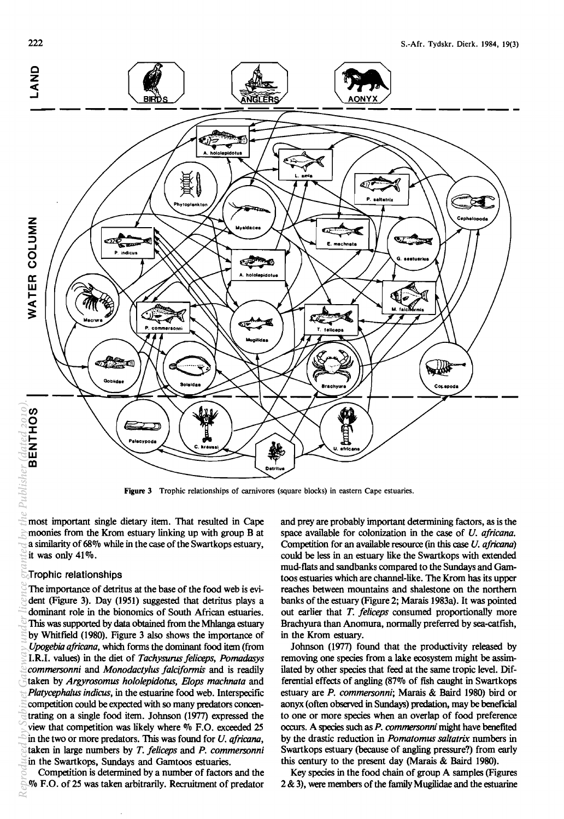

Figure 3 Trophic relationships of carnivores (square blocks) in eastern Cape estuaries.

most important single dietary item. That resulted in Cape moonies from the Krom estuary linking up with group B at a similarity of 68% while in the case of the Swartkops estuary, it was only 41%.

#### Trophic relationships

The importance of detritus at the base of the food web is evident (Figure 3). Day (1951) suggested that detritus plays a dominant role in the bionomics of South African estuaries. This was supported by data obtained from the Mhlanga estuary by Whitfield (1980). Figure 3 also shows the importance of *Upogebia africana,* which forms the dominant food item (from I.R.I. values) in the diet of *Taehysurus feliceps, Pomadasys eommersonni* and *Monodaety/us fa/ei/ormis* and is readily taken by *Argyrosomus hololepidotus, Elops machnata* and *Platycephalus indicus,* in the estuarine food web. Interspecific competition could be expected with so many predators concentrating on a single food item. Johnson (1977) expressed the view that competition was likely where % F.O. exceeded 25 in the two or more predators. This was found for *U. africana,*  taken in large numbers by *T. fe/ieeps* and *P. eommersonni*  in the Swartkops, Sundays and Gamtoos estuaries. *Reproduced by Sabinet Gateway under licence granted by the Publisher (dated 2010).*

Competition is determined by a number of factors and the % F.O. of 25 was taken arbitrarily. Recruitment of predator and prey are probably important determining factors, as is the space available for colonization in the case of *U. afrieana.*  Competition for an available resource (in this case *U. africana)*  could be less in an estuary like the Swartkops with extended mud-flats and sandbanks compared to the Sundays and Gamtoos estuaries which are channel-like. The Krom has its upper reaches between mountains and shalestone on the northern banks of the estuary (Figure 2; Marais 1983a). It was pointed out earlier that *T. fe/ieeps* consumed proportionally more Brachyura than Anomura, normally preferred by sea-catfish, in the Krom estuary.

Johnson (1977) found that the productivity released by removing one species from a lake ecosystem might be assimilated by other species that feed at the same tropic level. Differential effects of angling (87% of fish caught in Swartkops estuary are *P. eommersonni;* Marais & Baird 1980) bird or aonyx (often observed in Sundays) predation, may be beneficial to one or more species when an overlap of food preference occurs. A species such as *P. commersonni* might have benefited by the drastic reduction in *Pomatomus sa/tatrix* numbers in Swartkops estuary (because of angling pressure?) from early this century to the present day (Marais & Baird 1980).

Key species in the food chain of group A samples (Figures 2 & 3), were members of the family Mugilidae and the estuarine